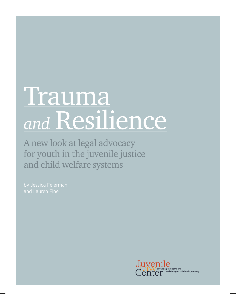# Trauma *and* Resilience

A new look at legal advocacy for youth in the juvenile justice and child welfare systems

by Jessica Feierman and Lauren Fine

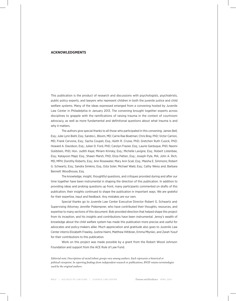#### **ACKNOWLEDGMENTS**

This publication is the product of research and discussions with psychologists, psychiatrists, public policy experts, and lawyers who represent children in both the juvenile justice and child welfare systems. Many of the ideas expressed emerged from a convening hosted by Juvenile Law Center in Philadelphia in January 2013. The convening brought together experts across disciplines to grapple with the ramifications of raising trauma in the context of courtroom advocacy, as well as more fundamental and definitional questions about what trauma is and why it matters.

The authors give special thanks to all those who participated in this convening: James Bell, Esq.; Julie Lynn Biehl, Esq.; Sandra L. Bloom, MD; Carrie Rae Boatman; Chris Bray, PhD; Victor Carrion, MD; Frank Cervone, Esq.; Sacha Coupet, Esq.; Keith R. Cruise, PhD; Gretchen Ruth Cusick, PhD; Howard A. Davidson, Esq.; Julian D. Ford, PhD; Carolyn Frazier, Esq.; Laurie Garduque, PhD; Naomi Goldstein, PhD; Hon. Judith Kaye; Miriam Krinsky, Esq.; Michelle Lavigne, Esq.; Robert Listenbee, Esq.; Katayoon Majd, Esq.; Shawn Marsh, PhD; Eliza Patten, Esq.; Joseph Pyle, MA; John A. Rich, MD, MPH; Dorothy Roberts, Esq.; Ann Rosewater, Mary Ann Scali, Esq.; Maisha E. Simmons; Robert G. Schwartz, Esq.; Sandra Simkins, Esq.; Esta Soler; Michael Wald, Esq.; Cathy Weiss and; Barbara Bennett Woodhouse, Esq.

The knowledge, insight, thoughtful questions, and critiques provided during and after our time together have been instrumental in shaping the direction of this publication. In addition to providing ideas and probing questions up front, many participants commented on drafts of this publication; their insights continued to shape the publication in important ways. We are grateful for their expertise, input and feedback. Any mistakes are our own.

Special thanks go to Juvenile Law Center Executive Director Robert G. Schwartz and Supervising Attorney Jennifer Pokempner, who have contributed their thoughts, resources, and expertise to many sections of this document. Bob provided direction that helped shape this project from its inception, and his insights and contributions have been instrumental. Jenny's wealth of knowledge about the child welfare system has made this publication more precise and useful for advocates and policy-makers alike. Much appreciation and gratitude also goes to Juvenile Law Center interns Elizabeth Frawley, Justine Haimi, Matthew Hiltibran, Emma Mlyniec, and Zarah Yusuf for their contributions to this publication.

Work on this project was made possible by a grant from the Robert Wood Johnson Foundation and support from the ACE Rule of Law Fund.

*Editorial note: Descriptions of racial/ethnic groups vary among authors. Each represents a historical or political viewpoint. In reporting findings from independent research or publications, RWJF retains terminologies used by the original authors.*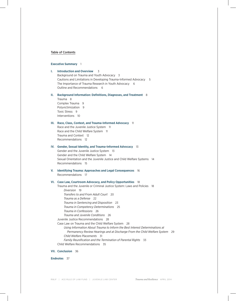#### Table of Contents

#### **Executive Summary** 1

**I. Introduction and Overview**  3 Background on Trauma and Youth Advocacy 3 Cautions and Limitations in Developing Trauma-Informed Advocacy 5 The Importance of Trauma Research in Youth Advocacy 6 Outline and Recommendations 6 **II. Background Information: Definitions, Diagnoses, and Treatment** 8 Trauma 8 Complex Trauma 9 Polyvictimization 9 Toxic Stress 9 Interventions 10 **III. Race, Class, Context, and Trauma-Informed Advocacy** 11 Race and the Juvenile Justice System 11 Race and the Child Welfare System 11 Trauma and Context 12 Recommendations 12 **IV. Gender, Sexual Identity, and Trauma-Informed Advocacy** 13 Gender and the Juvenile Justice System 13 Gender and the Child Welfare System 14 Sexual Orientation and the Juvenile Justice and Child Welfare Systems 14 Recommendations 15 **V. Identifying Trauma: Approaches and Legal Consequences** 16 Recommendations 17 **VI. Case Law, Courtroom Advocacy, and Policy Opportunities** 18 Trauma and the Juvenile or Criminal Justice System: Laws and Policies 18 *Diversion* 19 *Transfers to and From Adult Court* 20 *Trauma as a Defense* 22 *Trauma in Sentencing and Disposition* 23 *Trauma in Competency Determinations* 25 *Trauma in Confessions* 26 *Trauma and Juvenile Conditions* 26 Juvenile Justice Recommendations 28 Case Law on Trauma and the Child Welfare System 28 *Using Information About Trauma to Inform the Best Interest Determinations at Permanency Review Hearings and at Discharge From the Child Welfare System* 29 *Child Welfare Placements* 31 *Family Reunification and the Termination of Parental Rights* 33 Child Welfare Recommendations 35

#### **VII. Conclusion** 36

#### **Endnotes** 37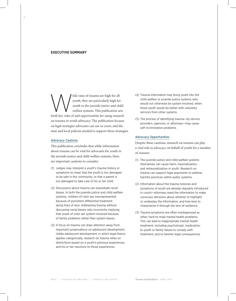#### **EXECUTIVE SUMMARY**

1

while rates of trauma are high for all<br>youth, they are particularly high for<br>youth in the juvenile justice and chin<br>welfare systems. This publication se<br>forth key risks of and opportunities for using resear youth, they are particularly high for youth in the juvenile justice and child welfare systems. This publication sets forth key risks of and opportunities for using research on trauma in youth advocacy. The publication focuses on legal strategies advocates can use in court, and the state and local policies needed to support these strategies.

#### Advocacy Cautions

This publication concludes that while information about trauma can be vital for advocates for youth in the juvenile justice and child welfare systems, there are important cautions to consider:

- (1) Judges may interpret a youth's trauma history or symptoms to mean that the youth is too damaged to be safe in the community, or that a parent is too damaged to take care of his or her child.
- (2) Discussions about trauma can exacerbate racial biases. In both the juvenile justice and child welfare systems, children of color are overrepresented because of persistent differential treatment along lines of race. Addressing trauma without discussing racial biases risks incorrectly implying that youth of color are system-involved because of family problems rather than system biases.
- (3) A focus on trauma can draw attention away from important jurisprudence on adolescent development. Unlike adolescent development, in which legal theory applies categorically, research on trauma relies on distinctions based on a youth's previous experiences, and his or her reactions to those experiences.
- (4) Trauma information may bring youth into the child welfare or juvenile justice systems who would not otherwise be system-involved, when those youth would do better with voluntary services from other systems.
- (5) The process of identifying trauma—by service providers, agencies, or attorneys—may cause self-incrimination problems.

#### Advocacy Opportunities

Despite these cautions, research on trauma can play a vital role in advocacy on behalf of youth for a number of reasons:

- (1) The juvenile justice and child welfare systems themselves can cause harm, traumatization, and retraumatization in youth. Research on trauma can support legal arguments to address harmful practices within public systems.
- (2) Information about the trauma histories and symptoms of youth are already regularly introduced in courts—attorneys need the information to make conscious decisions about whether to highlight or underplay the information, and how best to characterize it through the lens of resilience.
- (3) Trauma symptoms are often misdiagnosed as other, hard-to-treat mental health problems. This can lead to inappropriate mental health treatment, including psychotropic medication; to youth or family failure to comply with treatment; and to harsher legal consequences.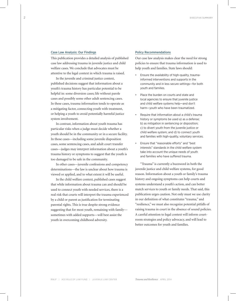#### Case Law Analysis: Our Findings

This publication provides a detailed analysis of published case law addressing trauma in juvenile justice and child welfare cases. We conclude that advocates must be attentive to the legal context in which trauma is raised.

In the juvenile and criminal justice context, published decisions suggest that information about a youth's trauma history has particular potential to be helpful in: some diversion cases; life without parole cases and possibly some other adult sentencing cases. In these cases, trauma information tends to operate as a mitigating factor, connecting youth with treatment, or helping a youth to avoid potentially harmful justice system involvement.

In contrast, information about youth trauma has particular risks when a judge must decide whether a youth should be in the community or in a secure facility. In those cases—including some juvenile disposition cases, some sentencing cases, and adult court transfer cases—judges may interpret information about a youth's trauma history or symptoms to suggest that the youth is too damaged to be safe in the community.

In other cases—juvenile confessions and competency determinations—the law is unclear about how trauma is viewed or applied, and to what extent it will be useful.

In the child welfare context, published cases suggest that while information about trauma can and should be used to connect youth with needed services, there is a real risk that courts will interpret the trauma experienced by a child or parent as justification for terminating parental rights. This is true despite strong evidence suggesting that for most youth, remaining with family sometimes with added supports—will best assist the youth in overcoming childhood adversity.

#### Policy Recommendations

Our case law analysis makes clear the need for strong policies to ensure that trauma information is used to help youth and families. State laws should:

- Ensure the availability of high-quality, traumainformed interventions and supports in the community and in less secure settings—for both youth and families.
- Place the burden on courts and state and local agencies to ensure that juvenile justice and child welfare systems help—and don't harm—youth who have been traumatized.
- Require that information about a child's trauma history or symptoms be used a) as a defense; b) as mitigation in sentencing or disposition; c) to divert youth from the juvenile justice or child welfare system; and d) to connect youth and families with high-quality, voluntary services.
- Ensure that "reasonable efforts" and "best interests" standards in the child welfare system take into account the unique needs of youth and families who have suffered trauma.

"Trauma" is currently a buzzword in both the juvenile justice and child welfare systems, for good reason. Information about a youth or family's trauma history and ongoing symptoms can help courts and systems understand a youth's action, and can better match services to youth or family needs. That said, this publication urges caution. Not only must we use clarity in our definition of what constitutes "trauma," and "resilience," we must also recognize potential pitfalls of raising trauma in court in the absence of sound policies. A careful attention to legal context will inform courtroom strategies and policy advocacy, and will lead to better outcomes for youth and families.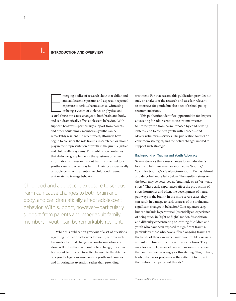I.

## **INTRODUCTION AND OVERVIEW**

Extra de la construction de la construction de la construction de la construction de la construction de la construction de la construction de la construction de la construction de la construction de la construction de la c merging bodies of research show that childhood and adolescent exposure, and especially repeated exposure to serious harm, such as witnessing or being a victim of violence or physical and sexual abuse can cause changes to both brain and body, and can dramatically affect adolescent behavior.<sup>1</sup> With support, however—particularly support from parents and other adult family members—youths can be remarkably resilient.<sup>2</sup> In recent years, attorneys have begun to consider the role trauma research can or should play in their representation of youth in the juvenile justice and child welfare systems. This publication continues that dialogue, grappling with the questions of when information and research about trauma is helpful to a youth's case, and when it is harmful. We focus specifically on adolescents, with attention to childhood trauma as it relates to teenage behavior.

Childhood and adolescent exposure to serious harm can cause changes to both brain and body, and can dramatically affect adolescent behavior. With support, however—particularly support from parents and other adult family members—youth can be remarkably resilient.

> While this publication grew out of a set of questions regarding the role of attorneys for youth, our research has made clear that changes in courtroom advocacy alone will not suffice. Without policy change, information about trauma can too often be used to the detriment of a youth's legal case—separating youth and families and imposing incarceration rather than providing

treatment. For that reason, this publication provides not only an analysis of the research and case law relevant to attorneys for youth, but also a set of related policy recommendations.

This publication identifies opportunities for lawyers advocating for adolescents to use trauma research to protect youth from harm imposed by child-serving systems, and to connect youth with needed—and ideally voluntary—services. The publication focuses on courtroom strategies, and the policy changes needed to support such strategies.

#### Background on Trauma and Youth Advocacy

Severe stressors that cause changes to an individual's brain and behavior may be described as "trauma," "complex trauma," or "polyvictimization." Each is defined and described more fully below. The resulting stress on the body may be described as "traumatic stress" or "toxic stress." These early experiences affect the production of stress hormones and often, the development of neural pathways in the brain.<sup>3</sup> In the more severe cases, they can result in damage to various areas of the brain, and significant changes in behavior.<sup>4</sup> Consequences vary, but can include hyperarousal (essentially an experience of being stuck in "fight or flight" mode), dissociation, and difficulty concentrating or learning.<sup>5</sup> Children and youth who have been exposed to significant trauma, particularly those who have suffered ongoing trauma at the hands of their caregivers, may have trouble assessing and interpreting another individual's emotions. They may, for example, misread cues and incorrectly believe that another person is angry or threatening. This, in turn, leads to behavior problems as they attempt to protect themselves from perceived threats.<sup>6</sup>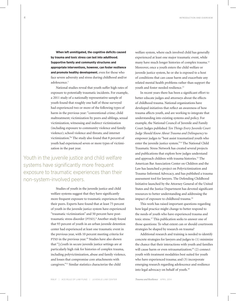**When left unmitigated, the cognitive deficits caused by trauma and toxic stress can last into adulthood. Supportive family and community structures and appropriate interventions, however, can foster resilience and promote healthy development**, even for those who face severe adversity and stress during childhood and/or adolescence.7

National studies reveal that youth suffer high rates of exposure to potentially traumatic incidents. For example, a 2011 study of a nationally representative sample of youth found that roughly one half of those surveyed had experienced two or more of the following types of harm in the previous year: "conventional crime; child maltreatment; victimization by peers and siblings, sexual victimization, witnessing and indirect victimization (including exposure to community violence and family violence); school violence and threats; and internet victimization."8 The study also found that 8 percent of youth had experienced seven or more types of victimization in the past year.

Youth in the juvenile justice and child welfare systems have significantly more frequent exposure to traumatic experiences than their non-system-involved peers.

> Studies of youth in the juvenile justice and child welfare systems suggest that they have significantly more frequent exposure to traumatic experiences than their peers. Experts have found that at least 75 percent of youth in the juvenile justice system have experienced "traumatic victimization" and 50 percent have posttraumatic stress disorder (PTSD).<sup>9</sup> Another study found that 93 percent of youth in an urban juvenile detention center had experienced at least one traumatic event in the previous year, with 10 percent meeting criteria for PTSD in the previous year.<sup>10</sup> Studies have also shown that "[y]outh in secure juvenile justice settings are at particularly high risk for histories of complex trauma, including polyvictimization, abuse and family violence, and losses that compromise core attachments with caregivers."11 Similar statistics characterize the child

welfare system, where each involved child has generally experienced at least one major traumatic event, while many have much longer histories of complex trauma.<sup>12</sup> Moreover, once a youth enters the child welfare or juvenile justice system, he or she is exposed to a host of conditions that can cause harm and exacerbate any related mental health problems rather than support the youth and foster needed resilience.<sup>13</sup>

In recent years there has been a significant effort to better educate judges and attorneys about the effects of childhood trauma. National organizations have developed initiatives that reflect an awareness of how trauma affects youth, and are working to integrate that understanding into existing systems and policy. For example, the National Council of Juvenile and Family Court Judges published *Ten Things Every Juvenile Court Judge Should Know About Trauma and Delinquency* to empower judges to "best assist traumatized youth who enter the juvenile justice system."14 The National Child Traumatic Stress Network has created several projects and publications that explore how judges understand and approach children with trauma histories.<sup>15</sup> The American Bar Association Center on Children and the Law has launched a project on Polyvictimization and Trauma-Informed Advocacy, and has published a trauma assessment tool for lawyers. The Defending Childhood Initiative launched by the Attorney General of the United States and the Justice Department has devoted significant resources to better understanding and addressing the impact of exposure to childhood trauma.<sup>16</sup>

This work has raised important questions regarding how legal practice might change to better respond to the needs of youth who have experienced trauma and toxic stress.17 This publication seeks to answer one of those questions: To what extent can or should courtroom strategies be shaped by research on trauma?

Additional research and training is needed to identify concrete strategies for lawyers and judges to (1) minimize the chance that their interactions with youth and families will cause harm or even retraumatization;<sup>18</sup> (2) connect youth with treatment modalities best suited for youth who have experienced trauma; and (3) incorporate emerging research regarding adolescence and resilience into legal advocacy on behalf of youth.19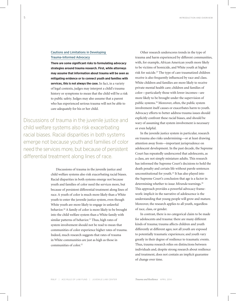#### Cautions and Limitations in Developing Trauma-Informed Advocacy

**There are some significant risks to formulating advocacy strategies around trauma research. First, while attorneys may assume that information about trauma will be seen as mitigating evidence or to connect youth and families with services, this is not always the case.** In fact, in a variety of legal contexts, judges may interpret a child's trauma history or symptoms to mean that the child will be a risk to public safety. Judges may also assume that a parent who has experienced serious trauma will not be able to care adequately for his or her child.

Discussions of trauma in the juvenile justice and child welfare systems also risk exacerbating racial biases. Racial disparities in both systems emerge not because youth and families of color need the services more, but because of persistent differential treatment along lines of race.

> Discussions of trauma in the juvenile justice and child welfare systems also risk exacerbating racial biases. Racial disparities in both systems emerge not because youth and families of color need the services more, but because of persistent differential treatment along lines of race. A youth of color is much more likely than a White youth to enter the juvenile justice system, even though White youth are more likely to engage in unlawful behavior.20 A family of color is more likely to be brought into the child welfare system than a White family with similar patterns of behavior.<sup>21</sup> Thus, high rates of system involvement should not be read to mean that communities of color experience higher rates of trauma. Indeed, much research suggests that rates of trauma in White communities are just as high as those in communities of color.22

Other research underscores trends in the type of trauma and harm experienced by different communities, with, for example, African American youth more likely to be victims of homicide, and White youth at higher risk for suicide.23 The type of care traumatized children receive is also frequently influenced by race and class. White children and families are more likely to receive private mental health care; children and families of color—particularly those with lower incomes—are more likely to be brought under the supervision of public systems.<sup>34</sup> Moreover, often, the public system involvement itself causes or exacerbates harm to youth. Advocacy efforts to better address trauma issues should explicitly confront these racial biases, and should be wary of assuming that system involvement is necessary or even helpful.

In the juvenile justice system in particular, research on trauma also risks undermining—or at least drawing attention away from—important jurisprudence on adolescent development. In the past decade, the Supreme Court has repeatedly underscored that adolescents, as a class, are not simply miniature adults. This research has informed the Supreme Court's decisions to hold the death penalty and certain life without parole sentences unconstitutional for youth.25 It has also played into the Supreme Court's conclusion that age is a factor in determining whether to issue *Miranda* warnings.26 This approach provides a powerful advocacy framework: implicit in the narrative of adolescence is the understanding that young people will grow and mature. Moreover, the research applies to all youth, regardless of race, class, or gender.

In contrast, there is no categorical claim to be made for adolescents and trauma: there are many different kinds of trauma; trauma affects children and youth differently at different ages; not all youth are exposed to potentially traumatic experiences; and youth vary greatly in their degree of resilience to traumatic events. Thus, trauma research relies on distinctions between individuals and, despite strong research about resilience and treatment, does not contain an implicit guarantee of change over time.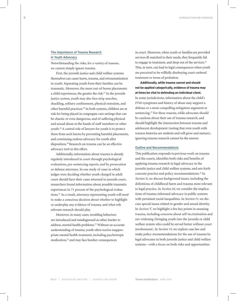#### The Importance of Trauma Research in Youth Advocacy

Notwithstanding the risks, for a variety of reasons, we cannot simply ignore trauma.

First, the juvenile justice and child welfare systems themselves can cause harm, trauma, and retraumatization in youth. Separating youth from their families can be traumatic. Moreover, the more out-of-home placements a child experiences, the greater the risk.<sup>27</sup> In the juvenile justice system, youth may also face strip searches, shackling, solitary confinement, physical restraints, and other harmful practices.28 In both systems, children are at risk for being placed in congregate care settings that can be chaotic or even dangerous, and of suffering physical and sexual abuse at the hands of staff members or other youth.29 A central role of lawyers for youth is to protect them from such harms by preventing harmful placements, and continuing zealous advocacy for youth after disposition.30 Research on trauma can be an effective advocacy tool in this effort.

Additionally, information about trauma is already regularly introduced in court through psychological evaluations, pre-sentencing reports, and by prosecution or defense attorneys. In one study of cases in which judges were deciding whether youth charged in adult court should have their cases returned to juvenile court, researchers found information about possible traumatic experiences in 71 percent of the psychological evaluations.<sup>31</sup> As a result, attorneys representing youth will need to make a conscious decision about whether to highlight or underplay any evidence of trauma, and what role relevant research should play.

Moreover, in many cases, troubling behaviors are introduced and misdiagnosed as other, harder to address, mental health problems.<sup>32</sup> Without an accurate understanding of trauma, youth often receive inappropriate mental health treatment, including psychotropic medication,<sup>33</sup> and may face harsher consequences

in court. Moreover, when youth or families are provided services ill-matched to their needs, they frequently fail to engage in treatment, and drop out of the services.<sup>34</sup> This, in turn, can lead to legal consequences when youth are perceived to be willfully disobeying court-ordered treatment or terms of probation.

**Additionally, while trauma cannot and should not be applied categorically, evidence of trauma may at times be vital to defending an individual client.** In some jurisdictions, information about the child's PTSD symptoms and history of abuse may support a defense or a more compelling mitigation argument at sentencing.<sup>35</sup> For these reasons, while advocates should be cautious about their use of trauma research, and should highlight the intersection between trauma and adolescent development (noting that even youth with trauma histories are resilient and will grow and mature), ignoring trauma research cannot be the answer.

#### Outline and Recommendations

This publication responds toprevious work on trauma and the courts, identifies both risks and benefits of applying trauma research in legal advocacy in the juvenile justice and child welfare systems, and sets forth concrete practice and policy recommendations.<sup>36</sup> In *Section II*, we discuss background issues, including the definitions of childhood harm and trauma most relevant to legal practice. In *Section III*, we consider the implications of trauma-informed advocacy in public systems with persistent racial inequalities. In *Section IV*, we discuss special issues related to gender and sexual identity. In *Section V*, we highlight a few key points in assessing trauma, including concerns about self-incrimination and net-widening (bringing youth into the juvenile or child welfare system who could be served better without court involvement). In *Section VI*, we explore case law and make policy recommendations for the use of trauma by legal advocates in both juvenile justice and child welfare systems—with a focus on both risks and opportunities.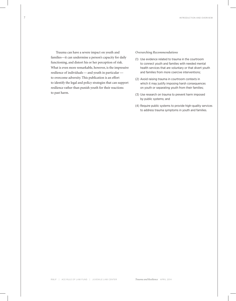Trauma can have a severe impact on youth and families—it can undermine a person's capacity for daily functioning, and distort his or her perception of risk. What is even more remarkable, however, is the impressive resilience of individuals— and youth in particular to overcome adversity. This publication is an effort to identify the legal and policy strategies that can support resilience rather than punish youth for their reactions to past harm.

#### *Overarching Recommendations*

- (1) Use evidence related to trauma in the courtroom to connect youth and families with needed mental health services that are voluntary or that divert youth and families from more coercive interventions;
- (2) Avoid raising trauma in courtroom contexts in which it may justify imposing harsh consequences on youth or separating youth from their families;
- (3) Use research on trauma to prevent harm imposed by public systems; and
- (4) Require public systems to provide high-quality services to address trauma symptoms in youth and families.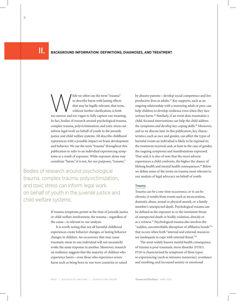#### **BACKGROUND INFORMATION: DEFINITIONS, DIAGNOSES, AND TREATMENT** II.

while we often use the term "trauma"<br>to describe harm with lasting effects<br>that may be legally relevant, that term<br>without further clarification, is both<br>too parrow and too yaque to fully canture our mean to describe harm with lasting effects that may be legally relevant, that term, without further clarification, is both too narrow and too vague to fully capture our meaning. In fact, bodies of research around psychological trauma, complex trauma, polyvictimization, and toxic stress can inform legal work on behalf of youth in the juvenile justice and child welfare systems. All describe childhood experiences with a possible impact on brain development and behavior. We use the term "trauma" throughout this publication to refer to an individual experiencing symptoms as a result of exposure. While exposure alone may constitute "harm," it is not, for our purposes, "trauma."

Bodies of research around psychological trauma, complex trauma, polyvictimization, and toxic stress can inform legal work on behalf of youth in the juvenile justice and child welfare systems.

> If trauma symptoms persist at the time of juvenile justice or child welfare involvement, the trauma—regardless of the cause—is relevant to our analysis.

It is worth noting that not all harmful childhood experiences create behavior changes, or lasting behavior changes in children. An occurrence that may cause traumatic stress in one individual will not necessarily evoke the same response in another. Moreover, research on resilience suggests that the majority of children who experience harm—even those who experience severe harm such as being born in war-torn countries or raised

by abusive parents—develop social competence and live productive lives as adults.<sup>37</sup> Key supports, such as an ongoing relationship with a nurturing adult or peer, can help children to develop resilience even when they face serious harm.<sup>38</sup> Similarly, if an event does traumatize a child, focused interventions can help the child address the symptoms and develop key coping skills.<sup>39</sup> Moreover, and as we discuss later in this publication, key characteristics, such as race and gender, can affect the types of harmful events an individual is likely to be exposed to; the treatment received; and, at least in the case of gender, the ongoing symptoms and manifestations expressed. That said, it is also of note that the more adverse experiences a child confronts, the higher the chance of lifelong health and mental health consequences.<sup>40</sup> Below we define some of the terms on trauma most relevant to our analysis of legal advocacy on behalf of youth.

#### Trauma

Trauma can be a one-time occurrence, or it can be chronic; it results from events such as incarceration, domestic abuse, sexual or physical assault, or a family member's unexpected death. Psychological trauma can be defined as the exposure to or the imminent threat of unexpected death or bodily violation, directly or as a witness.41 Psychological trauma also involves the "sudden, uncontrollable disruption of affiliative bonds"42 that occurs when both "internal and external resources are inadequate to cope with external threat."43

The most widely known mental health consequence of trauma is post-traumatic stress disorder (PTSD). PTSD is characterized by symptoms of three types: re-experiencing (such as intrusive memories), avoidance and numbing, and increased anxiety or emotional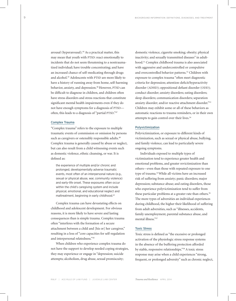arousal (hyperarousal).44 As a practical matter, this may mean that youth with PTSD: react emotionally to incidents that do not seem threatening to a nontraumatized individual; have trouble concentrating; and have an increased chance of self-medicating through drugs and alcohol.45 Adolescents with PTSD are more likely to have a history of running away from home, self-harming behavior, anxiety, and depression.46 However, PTSD can be difficult to diagnose in children, and children often have stress disorders and stress reactions that constitute significant mental health impairments even if they do not have enough symptoms for a diagnosis of PTSD often, this leads to a diagnosis of "partial PTSD."47

#### Complex Trauma

"Complex trauma" refers to the exposure to multiple traumatic events of commission or omission by persons such as caregivers or ostensibly responsible adults.<sup>48</sup> Complex trauma is generally caused by abuse or neglect, but can also result from a child witnessing events such as domestic violence, ethnic cleansing, or war. It is defined as:

the experience of multiple and/or chronic and prolonged, developmentally adverse traumatic events, most often of an interpersonal nature (e.g., sexual or physical abuse, war, community violence) and early-life onset. These exposures often occur within the child's caregiving system and include physical, emotional, and educational neglect and maltreatment, beginning in early childhood.<sup>49</sup>

Complex trauma can have devastating effects on childhood and adolescent development. For obvious reasons, it is more likely to have severe and lasting consequences than is simple trauma. Complex trauma often "interferes with the formation of a secure attachment between a child and [his or] her caregiver," resulting in a loss of "core capacities for self-regulation and interpersonal relatedness."50

When children who experience complex trauma do not have the support to develop needed coping strategies, they may experience or engage in "depression; suicide attempts; alcoholism, drug abuse, sexual promiscuity;

domestic violence, cigarette smoking; obesity; physical inactivity; and sexually transmitted diseases" in adulthood.51 Complex childhood trauma is also associated with aggressive and undercontrolled or compulsive and overcontrolled behavior patterns.<sup>52</sup> Children with exposure to complex trauma "often meet diagnostic criteria for depression; attention-deficit/hyperactivity disorder (ADHD); oppositional defiant disorder (ODD); conduct disorder; anxiety disorders; eating disorders; sleep disorders; communication disorders; separation anxiety disorder; and/or reactive attachment disorder."53 Children may exhibit some or all of these behaviors as automatic reactions to trauma reminders, or in their own attempts to gain control over their lives.<sup>54</sup>

#### Polyvictimization

Polyvictimization, or exposure to different kinds of victimization, such as sexual or physical abuse, bullying, and family violence, can lead to particularly severe ongoing symptoms.

Individuals exposed to multiple types of victimization tend to experience greater health and emotional problems, and greater revictimization than others—even than those with repeated exposure to one type of trauma.55 While all victims have an increased risk of suffering from anxiety; panic disorders; major depression; substance abuse; and eating disorders, those who experience polyvictimization tend to suffer from these particular problems at a greater rate than others.<sup>56</sup> The more types of adversities an individual experiences during childhood, the higher their likelihood of suffering from adult adversities, such as "illnesses, accidents, family unemployment, parental substance abuse, and mental illness."57

#### Toxic Stress

Toxic stress is defined as "the excessive or prolonged activation of the physiologic stress response systems in the absence of the buffering protection afforded by stable, responsive relationships."58 A toxic stress response may arise when a child experiences "strong, frequent, or prolonged adversity" such as chronic neglect,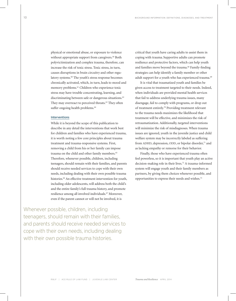physical or emotional abuse, or exposure to violence without appropriate support from caregivers.<sup>59</sup> Both polyvictimization and complex trauma, therefore, can increase the risk of toxic stress. Toxic stress, in turn, causes disruptions in brain circuitry and other regulatory systems.<sup>60</sup> The youth's stress response becomes chronically activated, which, in turn, leads to mood and memory problems.<sup>61</sup> Children who experience toxic stress may have trouble concentrating, learning, and discriminating between safe or dangerous situations.<sup>62</sup> They may overreact to perceived threats.<sup>63</sup> They often suffer ongoing health problems.<sup>64</sup>

#### Interventions

While it is beyond the scope of this publication to describe in any detail the interventions that work best for children and families who have experienced trauma, it is worth noting a few core principles about trauma treatment and trauma-responsive systems. First, removing a child from his or her family can impose trauma on the child and other family members.<sup>65</sup> Therefore, whenever possible, children, including teenagers, should remain with their families, and parents should receive needed services to cope with their own needs, including dealing with their own possible trauma histories.<sup>66</sup> An effective treatment intervention for youth, including older adolescents, will address both the child's and the entire family's full trauma history, and promote resilience among all involved individuals.67 Moreover, even if the parent cannot or will not be involved, it is

Whenever possible, children, including teenagers, should remain with their families, and parents should receive needed services to cope with their own needs, including dealing with their own possible trauma histories.

critical that youth have caring adults to assist them in coping with trauma.Supportive adults can promote resilience and protective factors, which can help youth and families move beyond the trauma.<sup>68</sup> Family-finding strategies can help identify a family member or other adult support for a youth who has experienced trauma.<sup>69</sup>

It is vital that traumatized youth and families be given access to treatment targeted to their needs. Indeed, when individuals are provided mental health services that fail to address underlying trauma issues, many disengage, fail to comply with programs, or drop out of treatment entirely.70 Providing treatment relevant to the trauma needs maximizes the likelihood that treatment will be effective, and minimizes the risk of retraumatization. Additionally, targeted interventions will minimize the risk of misdiagnoses. When trauma issues are ignored, youth in the juvenile justice and child welfare system may be incorrectly labeled as suffering from ADHD, depression, ODD, or bipolar disorder,<sup>71</sup> and as lacking empathy or remorse for their behavior.

Finally, those who have experienced trauma often feel powerless, so it is important that youth play an active decision-making role in their lives.72 A trauma-informed system will engage youth and their family members as partners, by giving them choices whenever possible, and opportunities to express their needs and wishes.73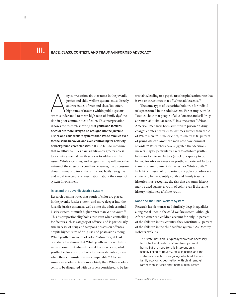#### **RACE, CLASS, CONTEXT, AND TRAUMA-INFORMED ADVOCACY** III.

ny conversation about trauma in the juvenile<br>justice and child welfare systems must directly<br>address issues of race and class. Too often,<br>high rates of trauma within public systems<br>are misunderstood to mean high rates of f justice and child welfare systems must directly address issues of race and class. Too often, high rates of trauma within public systems are misunderstood to mean high rates of family dysfunction in poor communities of color. This interpretation ignores the research showing that **youth and families of color are more likely to be brought into the juvenile justice and child welfare systems than White families even for the same behavior, and even controlling for a variety of background characteristics**. 74 It also fails to recognize that wealthier families have significantly greater access to voluntary mental health services to address similar issues. While race, class, and geography may influence the nature of the stressors a youth experiences, the discussion about trauma and toxic stress must explicitly recognize and avoid inaccurate representations about the causes of system involvement.

#### Race and the Juvenile Justice System

Research demonstrates that youth of color are placed in the juvenile justice system, and move deeper into the juvenile justice system, as well as into the adult criminal justice system, at much higher rates than White youth.<sup>75</sup> This disproportionality holds true even when controlling for factors such as category of offense, and is particularly true in cases of drug and weapons possession offenses, despite higher rates of drug use and possession among White youth than youth of color.<sup>76</sup> Moreover, at least one study has shown that White youth are more likely to receive community-based mental health services, while youth of color are more likely to receive detention, even when their circumstances are comparable.<sup>77</sup> African American adolescents are more likely than White adolescents to be diagnosed with disorders considered to be less treatable, leading to a psychiatric hospitalization rate that is two or three times that of White adolescents.<sup>78</sup>

The same types of disparities hold true for individuals prosecuted in the adult system. For example, while "studies show that people of all colors use and sell drugs at remarkably similar rates,"79 in some states "African American men have been admitted to prison on drug charges at rates nearly 20 to 50 times greater than those of White men."80 In major cities, "as many as 80 percent of young African American men now have criminal records."81 Researchers have suggested that decisionmakers may be particularly likely to attribute youth's behavior to internal factors (a lack of capacity to do better) for African American youth, and external factors (family or environmental stresses) for White youth.82 In light of these stark disparities, any policy or advocacy strategy to better identify youth and family trauma histories must recognize the risk that a trauma history may be used against a youth of color, even if the same history might help a White youth.

#### Race and the Child Welfare System

Research has demonstrated similarly deep inequalities along racial lines in the child welfare system. Although African American children account for only 15 percent of the children in this country, they constitute 30 percent of the children in the child welfare system.<sup>83</sup> As Dorothy Roberts explains:

This state intrusion is typically viewed as necessary to protect maltreated children from parental harm. But the need for this intervention is usually linked to poverty, racial injustice, and the state's approach to caregiving, which addresses family economic deprivation with child removal rather than services and financial resources.<sup>84</sup>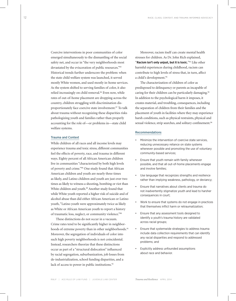Coercive interventions in poor communities of color emerged simultaneously to the dismantling of the social safety net, and occur in "the very neighborhoods most devastated by the evisceration of public resources."85 Historical trends further underscore the problem: when the state child welfare system was launched, it served mostly White women, and used mostly in-home services. As the system shifted to serving families of color, it also relied increasingly on child removal.<sup>86</sup> Even now, while rates of out-of-home placement are dropping across the country, children struggling with discrimination disproportionately face coercive state involvement.<sup>87</sup> To talk about trauma without recognizing these disparities risks pathologizing youth and families rather than properly accounting for the role of—or problems in—state child welfare systems.

#### Trauma and Context

While children of all races and all income levels may experience trauma and toxic stress, different communities feel the effects of poverty, race, and trauma in different ways. Eighty percent of all African American children live in communities "characterized by both high levels of poverty and crime."88 One study found that African American children and youth are nearly three times as likely, and Latino children and youth are just over two times as likely to witness a shooting, bombing or riot than White children and youth.<sup>89</sup> Another study found that while White youth reported a higher risk of suicide and of alcohol abuse than did either African American or Latino youth, "Latino youth were approximately twice as likely as White or African American youth to report a history of traumatic loss, neglect, or community violence."90

These distinctions do not occur in a vacuum. Crime rates tend to be significantly higher in neighborhoods of extreme poverty than in other neighborhoods.<sup>91</sup> Moreover, the segregation of individuals of color into such high poverty neighborhoods is not coincidental. Instead, researchers theorize that these distinctions occur as part of a "structural dislocation" influenced by racial segregation, suburbanization, job losses from de-industrialization, school funding disparities, and a lack of access to power in public institutions.<sup>92</sup>

Moreover, racism itself can create mental health stresses for children. As Dr. John Rich explained, "**Racism isn't only unjust, but it is toxic.**"93 Like other harmful experiences during childhood, racism can contribute to high levels of stress that, in turn, affect a child's development.<sup>94</sup>

The characterization of children of color as predisposed to delinquency or parents as incapable of caring for their children can be particularly damaging.<sup>95</sup> In addition to the psychological harm it imposes, it creates material, and troubling, consequences, including the separation of children from their families and the placement of youth in facilities where they may experience harsh conditions, such as physical restraints, physical and sexual violence, strip searches, and solitary confinement.<sup>96</sup>

#### Recommendations

- Minimize the intervention of coercive state services, reducing unnecessary reliance on state systems whenever possible and promoting the use of voluntary community-based services;
- Ensure that youth remain with family whenever possible, and that all out-of-home placements engage and involve families;
- Use language that recognizes strengths and resilience rather than implying weakness, pathology, or deviancy;
- Ensure that narratives about clients and trauma do not inadvertently stigmatize youth and lead to harsher consequences in court;
- Work to ensure that systems do not engage in practices that themselves inflict harm or retraumatization;
- Ensure that any assessment tools designed to identify a youth's trauma history are validated across racial groups;
- Ensure that systemwide strategies to address trauma include data collection requirements that can identify any racial disparities and respond to addressed problems; and
- Explicitly address unfounded assumptions about race and behavior.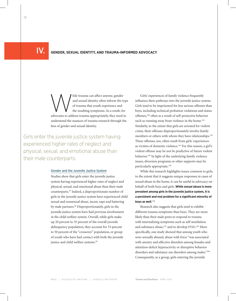# IV.

### **GENDER, SEXUAL IDENTITY, AND TRAUMA-INFORMED ADVOCACY**

While trauma can affect anyone, gender<br>and sexual identity often inform the ty<br>of trauma that youth experience and<br>the resulting symptoms. As a result, for<br>advocates to address trauma appropriately, they need to and sexual identity often inform the type of trauma that youth experience and the resulting symptoms. As a result, for advocates to address trauma appropriately, they need to understand the nuances of trauma research through the lens of gender and sexual identity.

Girls enter the juvenile justice system having experienced higher rates of neglect and physical, sexual, and emotional abuse than their male counterparts.

#### Gender and the Juvenile Justice System

Studies show that girls enter the juvenile justice system having experienced higher rates of neglect and physical, sexual, and emotional abuse than their male counterparts.97 Indeed, a disproportionate number of girls in the juvenile justice system have experienced child sexual and nonsexual abuse, incest, rape and battering by male partners.98 Disproportionately, girls in the juvenile justice system have had previous involvement in the child welfare system. Overall, while girls make up 20 percent to 35 percent of the overall juvenile delinquency population, they account for 33 percent to 50 percent of the "crossover" population, or group of youth who have had contact with both the juvenile justice and child welfare systems.<sup>99</sup>

Girls' experiences of family violence frequently influence their pathways into the juvenile justice system. Girls tend to be imprisoned for less serious offenses than boys, including technical probation violations and status offenses,100 often as a result of self-protective behavior such as running away from violence in the home.<sup>101</sup> Similarly, to the extent that girls are arrested for violent crime, their offenses disproportionately involve family members or others with whom they have relationships.<sup>102</sup> These offenses, too, often result from girls' experiences as victims of domestic violence.103 For this reason, a girl's violent offense may be not be predictive of future violent behavior.104 In light of the underlying family violence issues, diversion programs or other supports may be particularly appropriate.105

While this research highlights issues common to girls, to the extent that it suggests unique responses in cases of sexual abuse in the home, it can be useful in advocacy on behalf of both boys and girls. **While sexual abuse is more prevalent among girls in the juvenile justice system, it is a persistent and real problem for a significant minority of boys as well**. 106

Research also suggests that girls tend to exhibit different trauma symptoms than boys. They are more likely than their male peers to respond to trauma with internalizing symptoms such as self-mutilation and substance abuse,<sup>107</sup> and to develop PTSD.<sup>108</sup> More specifically, one study showed that among youth who were sexually abused, abuse with force "was associated with anxiety and affective disorders among females and attention-deficit hyperactivity or disruptive behavior disorders and substance use disorders among males."109 Consequently, as a group, girls entering the juvenile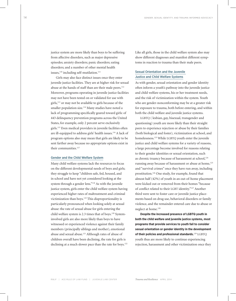justice system are more likely than boys to be suffering from affective disorders, such as major depressive episodes; anxiety disorders; panic disorders; eating disorders; and a number of other mental health issues,<sup>110</sup> including self-mutilation.<sup>111</sup>

Girls may also face distinct issues once they enter juvenile justice facilities. They are at higher risk for sexual abuse at the hands of staff than are their male peers.<sup>112</sup> Moreover, programs operating in juvenile justice facilities may not have been tested on or validated for use with girls,<sup>113</sup> or may not be available to girls because of the smaller population size.<sup>114</sup> Many studies have noted a lack of programming specifically geared toward girls: of 443 delinquency prevention programs across the United States, for example, only 2 percent serve exclusively girls.115 Even medical providers in juvenile facilities often are ill-equipped to address girls' health issues.<sup>116</sup> A lack of program options also may mean that girls are likely to be sent farther away because no appropriate options exist in their communities.<sup>117</sup>

#### Gender and the Child Welfare System

Many child welfare systems lack the resources to focus on the different developmental needs of boys and girls; they struggle to keep "children safe, fed, housed, and in school and have not yet considered looking at the system through a gender lens."<sup>118</sup> As with the juvenile justice system, girls enter the child welfare system having experienced higher rates of maltreatment and criminal victimization than boys.<sup>119</sup> This disproportionality is particularly pronounced when looking solely at sexual abuse: the rate of sexual abuse for girls entering the child welfare system is 2.3 times that of boys.<sup>120</sup> Systeminvolved girls are also more likely than boys to have witnessed or experienced violence against their family members (principally siblings and mother), emotional abuse and sexual abuse.121 Although rates of abuse of children overall have been declining, the rate for girls is declining at a much slower pace than the rate for boys.<sup>122</sup>

Like all girls, those in the child welfare system also may show different diagnoses and manifest different symptoms in reaction to trauma than their male peers.

#### Sexual Orientation and the Juvenile Justice and Child Welfare Systems

As with gender, sexual orientation and gender identity often inform a youth's pathway into the juvenile justice and child welfare systems, his or her treatment needs, and the risk of victimization within the system. Youth who are gender-nonconforming may be at a greater risk for exposure to trauma, both before entering, and within both the child welfare and juvenile justice systems.

LGBTQ ( lesbian, gay, bisexual, transgender and questioning) youth are more likely than their straight peers to experience rejection or abuse by their families (both biological and foster), victimization at school, and homelessness.<sup>123</sup> While LGBTQ youth enter the juvenile justice and child welfare systems for a variety of reasons, a large percentage become involved for reasons relating to their gender identities or sexual orientation, such as chronic truancy because of harassment at school,<sup>124</sup> running away because of harassment or abuse at home,<sup>125</sup> and "survival crimes" once they have run away, including prostitution.126 One study, for example, found that almost half (42%) of youth in an out-of-home placement were kicked out or removed from their homes "because of conflict related to their LGBT identity."127 Another third were sent to foster care or juvenile justice placements based on drug use, behavioral disorders or family violence, and the remainder entered care due to abuse or neglect at home.<sup>128</sup>

**Despite the increased presence of LGBTQ youth in both the child welfare and juvenile justice systems, most programs that provide services to youth fail to consider sexual orientation or gender identity in the development of their policies and professional standards.**<sup>129</sup> LGBTQ youth thus are more likely to continue experiencing rejection, harassment and other victimization once they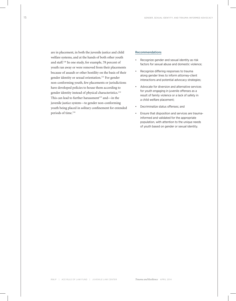are in placement, in both the juvenile justice and child welfare systems, and at the hands of both other youth and staff.130 In one study, for example, 78 percent of youth ran away or were removed from their placements because of assault or other hostility on the basis of their gender identity or sexual orientation.131 For gender non-conforming youth, few placements or jurisdictions have developed policies to house them according to gender identity instead of physical characteristics.<sup>132</sup> This can lead to further harassment<sup>133</sup> and—in the juvenile justice system—to gender non-conforming youth being placed in solitary confinement for extended periods of time.134

#### Recommendations

- Recognize gender and sexual identity as risk factors for sexual abuse and domestic violence;
- Recognize differing responses to trauma along gender lines to inform attorney-client interactions and potential advocacy strategies;
- Advocate for diversion and alternative services for youth engaging in juvenile offenses as a result of family violence or a lack of safety in a child welfare placement;
- Decriminalize status offenses; and
- Ensure that disposition and services are traumainformed and validated for the appropriate population, with attention to the unique needs of youth based on gender or sexual identity.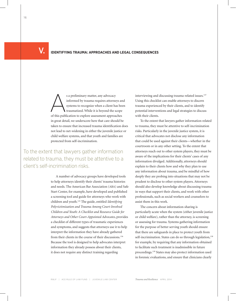V.

#### **IDENTIFYING TRAUMA: APPROACHES AND LEGAL CONSEQUENCES**

s a preliminary matter, any advocacy<br>informed by trauma requires attorne<br>systems to recognize when a client ha<br>traumatized. While it is beyond the set informed by trauma requires attorneys and systems to recognize when a client has been traumatized. While it is beyond the scope of this publication to explore assessment approaches in great detail, we underscore here that care should be taken to ensure that increased trauma identification does not lead to net-widening in either the juvenile justice or child welfare systems, and that youth and families are protected from self-incrimination.

To the extent that lawyers gather information related to trauma, they must be attentive to a client's self-incrimination risks.

> A number of advocacy groups have developed tools to help attorneys identify their clients' trauma histories and needs. The American Bar Association (ABA) and Safe Start Center, for example, have developed and published a screening tool and guide for attorneys who work with children and youth.135 The guide, entitled *Identifying Polyvictimization and Trauma Among Court-Involved Children and Youth: A Checklist and Resource Guide for Attorneys and Other Court-Appointed Advocates*, provides a checklist of different types of traumatic experiences and symptoms, and suggests that attorneys use it to help interpret the information they have already gathered from their clients in the course of their discussions.136 Because the tool is designed to help advocates interpret information they already possess about their clients, it does not require any distinct training regarding

interviewing and discussing trauma-related issues.<sup>137</sup> Using this checklist can enable attorneys to discern trauma experienced by their clients, and to identify potential interventions and legal strategies to discuss with their clients.

To the extent that lawyers gather information related to trauma, they must be attentive to self-incrimination risks. Particularly in the juvenile justice system, it is critical that advocates not disclose any information that could be used against their clients—whether in the courtroom or in any other setting. To the extent that attorneys reach out to other system players, they must be aware of the implications for their clients' cases of any information divulged. Additionally, attorneys should explain to their clients how and why they plan to use any information about trauma, and be mindful of how deeply they are probing into situations that may not be prudent to disclose to other system players. Attorneys should also develop knowledge about discussing trauma in ways that support their clients, and work with other professionals, such as social workers and counselors to assist them in this work.

The concern about information-sharing is particularly acute when the system (either juvenile justice or child welfare), rather than the attorney, is screening or assessing for trauma. Systems gathering information for the purpose of better serving youth should ensure that there are safeguards in place to protect youth from self-incrimination. States can do so through legislation,<sup>138</sup> for example, by requiring that any information obtained to facilitate such treatment is inadmissible in future proceedings.139 States may also protect information used in forensic evaluations, and ensure that clinicians clearly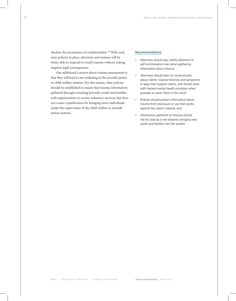disclose the parameters of confidentiality.<sup>140</sup> With such state policies in place, attorneys and systems will be better able to respond to youth trauma without risking negative legal consequences.

One additional concern about trauma assessments is that they will lead to net-widening in the juvenile justice or child welfare systems. For this reason, clear policies should be established to ensure that trauma information gathered through screening provides youth and families with opportunities to receive voluntary services, but does not create a justification for bringing more individuals under the supervision of the child welfare or juvenile justice systems.

#### Recommendations

- Attorneys should pay careful attention to self-incrimination risks when gathering information about trauma;
- Attorneys should learn to communicate about clients' trauma histories and symptoms in ways that support clients, and should work with trained mental health providers when possible to assist them in this work;
- Policies should protect information about trauma from disclosure or use that works against the client's interest; and
- Information gathered on trauma should not be used as a net-widener, bringing new youth and families into the system.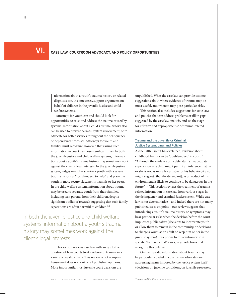#### **CASE LAW, COURTROOM ADVOCACY, AND POLICY OPPORTUNITIES** VI.

I nformation about a youth's trauma history or related diagnosis can, in some cases, support arguments on behalf of children in the juvenile justice and child welfare systems.

Attorneys for youth can and should look for opportunities to raise and address the trauma caused by systems. Information about a child's trauma history also can be used to prevent harmful system involvement, or to advocate for better services throughout the delinquency or dependency processes. Attorneys for youth and families must recognize, however, that raising such information in court can pose significant risks. In both the juvenile justice and child welfare systems, information about a youth's trauma history may sometimes work against the client's legal interests. In the juvenile justice system, judges may characterize a youth with a severe trauma history as "too damaged to help," and place the youth in more secure placements than his or her peers. In the child welfare system, information about trauma may be used to separate youth from their families, including teen parents from their children, despite significant bodies of research suggesting that such family separations are often harmful to children.<sup>141</sup>

In both the juvenile justice and child welfare systems, information about a youth's trauma history may sometimes work against the client's legal interests.

> This section reviews case law with an eye to the question of how courts treat evidence of trauma in a variety of legal contexts. This review is not comprehensive—it does not look to all published opinions. More importantly, most juvenile court decisions are

unpublished. What the case law can provide is some suggestions about where evidence of trauma may be most useful, and where it may pose particular risks.

This section also includes suggestions for state laws and policies that can address problems or fill in gaps suggested by the case law analysis, and set the stage for effective and appropriate use of trauma-related information.

#### Trauma and the Juvenile or Criminal Justice System: Laws and Policies

As the Fifth Circuit has explained, evidence about childhood harms can be 'double-edged' in court.<sup>142</sup> "Although the evidence of [a defendant's] inadequate supervision as a child might permit an inference that he or she is not as morally culpable for his behavior, it also might suggest [that the defendant], as a product of his environment, is likely to continue to be dangerous in the future."143 This section reviews the treatment of traumarelated information in case law from various stages in the delinquency and criminal justice system. While case law is not determinative—and indeed there are not many published cases on point—our review suggests that introducing a youth's trauma history or symptoms may bear particular risks when the decision before the court implicates public safety (decisions to incarcerate youth or allow them to remain in the community, or decisions to charge a youth as an adult or keep him or her in the juvenile system). Exceptions to this caution exist in specific "battered child" cases, in jurisdictions that recognize this defense.

On the flipside, information about trauma may be particularly useful in court when advocates are addressing harms imposed by the justice system itself (decisions on juvenile conditions, on juvenile processes,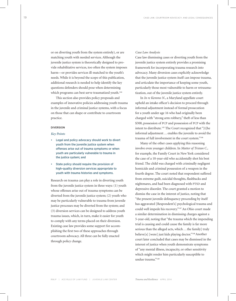or on diverting youth from the system entirely), or are matching youth with needed services. Although the juvenile justice system is theoretically designed to provide rehabilitative services, too often the system imposes harm—or provides services ill-matched to the youth's needs. While it is beyond the scope of this publication, additional research is needed to help identify the key questions defenders should pose when determining which programs can best serve traumatized youth.<sup>144</sup>

This section also provides policy proposals and examples of innovative policies addressing youth trauma in the juvenile and criminal justice systems, with a focus on those that can shape or contribute to courtroom practice.

#### DIVERSION

#### *Key Points*

- Legal and policy advocacy should work to divert youth from the juvenile justice system when offenses arise out of trauma symptoms or when youth are particularly vulnerable to trauma in the justice system; and
- State policy should require the provision of high-quality diversion services appropriate to youth with trauma histories and symptoms.

Research on trauma can play a role in diverting youth from the juvenile justice system in three ways: (1) youth whose offenses arise out of trauma symptoms can be diverted from the juvenile justice system; (2) youth who may be particularly vulnerable to trauma from juvenile justice processes may be diverted from the system; and (3) diversion services can be designed to address youth trauma issues, which, in turn, make it easier for youth to comply with any terms placed on their diversion. Existing case law provides some support for accomplishing the first two of these approaches through courtroom advocacy. All three can be fully enacted through policy change.

#### *Case Law Analysis*

Case law dismissing cases or diverting youth from the juvenile justice system entirely provides a promising framework for incorporating trauma research into advocacy. Many diversion cases explicitly acknowledge that the juvenile justice system itself can impose trauma, and articulate the importance of keeping some youth, particularly those most vulnerable to harm or retraumatization, out of the juvenile justice system entirely.

In *In re Kemmo N.,* a Maryland appellate court upheld an intake officer's decision to proceed through informal adjustment instead of formal prosecution for a youth under age 16 who had originally been charged with "strong arm robbery," theft of less than \$300, possession of PCP and possession of PCP with the intent to distribute.<sup>145</sup> The Court recognized that "[t]he informal adjustment…enables the juvenile to avoid the trauma of full involvement in the court system."<sup>146</sup>

Many of the other cases applying this reasoning involve even younger children. In *Matter of Tristan C.,*  for example, the Family Court in New York considered the case of a 10-year-old who accidentally shot his best friend. The child was charged with criminally negligent homicide and criminal possession of a weapon in the fourth degree. The court noted that respondent suffered from extreme guilt, suicidal thoughts, flashbacks and nightmares, and had been diagnosed with PTSD and depressive disorder. The court granted a motion to dismiss the case in the interest of justice, noting that "the present juvenile delinquency proceeding by itself has aggravated [Respondent's] psychological trauma and could well impede his recovery."147 An Ohio court made a similar determination in dismissing charges against a 5-year-old, noting that "the trauma which the impending trial is causing and could cause the family is far more serious than the alleged acts, which ... the family] truly believe[s] [were] just kids playing doctor."148 Another court later concluded that cases may be dismissed in the interest of justice when youth demonstrate symptoms of "any mental illness, incapacity, or other sensitivity which might render him particularly susceptible to undue trauma."149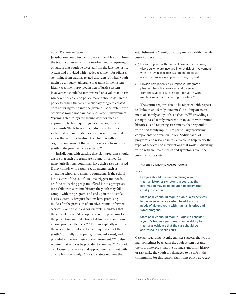#### *Policy Recommendations*

Jurisdictions could further protect vulnerable youth from the trauma of juvenile justice involvement by requiring by statute that youth be diverted from the juvenile justice system and provided with needed treatment for offenses stemming from trauma-related disorders, or when youth might be uniquely vulnerable to trauma in the system. Ideally, treatment provided in lieu of justice system involvement should be administered on a voluntary basis whenever possible, and policy-makers should design the policy to ensure that any diversionary program created does not bring youth into the juvenile justice system who otherwise would not have had such system involvement. Wyoming statute lays the groundwork for such an approach. The law requires judges to recognize and distinguish "the behavior of children who have been victimized or have disabilities, such as serious mental illness that requires treatment or children with a cognitive impairment that requires services from other youth in the juvenile justice system."150

Jurisdictions with existing diversion programs should ensure that such programs are trauma-informed. In many jurisdictions, youth may have their cases dismissed if they comply with certain requirements, such as attending school and going to counseling. If the school is not aware of the youth's trauma triggers and needs, or if the counseling program offered is not appropriate for a child with a trauma history, the youth may fail to comply with the program, and end up in the juvenile justice system. A few jurisdictions have promising models for the provision of effective trauma-informed services. Connecticut law, for example, mandates that the judicial branch "develop constructive programs for the prevention and reduction of delinquency and crime among juvenile offenders."151 The law explicitly requires the services to be tailored to the unique needs of the youth, "culturally appropriate, trauma informed, and provided in the least restrictive environment."152 It also requires that services be provided to families.<sup>153</sup> Colorado also focuses on effective and appropriate treatment with an emphasis on family. Colorado statute requires the

establishment of "family advocacy mental health juvenile justice programs" to:

- (5) Focus on youth with mental illness or co-occurring disorders who are involved in or at risk of involvement with the juvenile justice system and be based upon the families' and youths' strengths; and
- (6) Provide navigation, crisis response, integrated planning, transition services, and diversion from the juvenile justice system for youth with mental illness or co-occurring disorders.<sup>154</sup>

The statute requires data to be reported with respect to "[y]outh and family outcomes" including an assessment of "family and youth satisfaction."155 Providing a strength-based family intervention to youth with trauma histories—and requiring assessments that respond to youth and family input—are particularly promising components of diversion policy. Additional pilot programs and research in this area could help clarify the types of services and interventions that work in diverting youth with trauma histories and symptoms from the juvenile justice system.

#### TRANSFERS TO AND FROM ADULT COURT

#### *Key Points*

- Lawyers should use caution raising a youth's trauma history or symptoms in court, as the information may be relied upon to justify adult court jurisdiction;
- State policies should require high-quality services in the juvenile justice system to address the needs of violent youth with trauma histories and symptoms; and
- State policies should require judges to consider a youth's trauma symptoms or vulnerability to trauma as evidence that the case should be addressed in juvenile court.

Case law regarding juvenile transfer suggests that youth may sometimes be tried in the adult system because the court interprets that the trauma symptoms, history, or risk make the youth too damaged to be safe in the community. For this reason, significant policy advocacy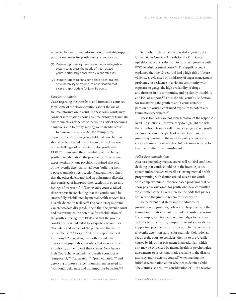is needed before trauma information can reliably support positive outcomes for youth. Policy advocacy can:

- (1) Require high-quality services in the juvenile justice system to address the needs of traumatized youth, particularly those with violent offenses.
- (2) Require judges to consider a child's past trauma, or vulnerability to trauma, as an indication that a case is appropriate for juvenile court.

#### *Case Law Analysis*

Cases regarding the transfer to and from adult court set forth some of the clearest cautions about the use of trauma information in court. In these cases, courts may consider information about a trauma history or traumatic environments as evidence of the youth's risk of becoming dangerous, and to justify keeping youth in adult court.

In *State in Interest of CAH,* for example, the Supreme Court of New Jersey held that two children should be transferred to adult court, in part because of the challenges of rehabilitation for youth with PTSD. 156 In assessing the amenability of the charged youth to rehabilitation, the juvenile court considered expert testimony; one psychiatrist opined that one of the juvenile defendants had been "suffering from a post-traumatic stress reaction" and another opined that the other defendant "had an adjustment disorder that consisted of inappropriate reactions to stress and feelings of insecurity."157 The juvenile court credited these experts in concluding that the youths could be successfully rehabilitated by mental health services in a juvenile detention facility.<sup>158</sup> The New Jersey Supreme Court, however, disagreed. It held that the juvenile court had overestimated the potential for rehabilitation of the youth suffering from PTSD and that the juvenile court's decision had failed to adequately account for "the safety and welfare of the public and the nature of the offense."159 Despite "extensive expert medical testimony"160 suggesting that both juveniles had experienced psychiatric disorders that increased their impulsivity at the time of their crimes, New Jersey's high Court characterized the juvenile's conduct as "purposeful,"<sup>161</sup> "calculated,"<sup>162</sup> "premeditated,"<sup>163</sup> and deserving of more stringent punishment reserved for "volitional, deliberate and nonimpulsive behavior."164

Similarly, in *United States v. Sealed Appellant,* the United States Court of Appeals for the Fifth Circuit upheld a trial court's decision to transfer a juvenile with PTSD to adult criminal court.<sup>165</sup> The appellate court explained that the 15-year-old had a high risk of future violence, as evidenced by his history of anger management problems, his residence in a violent community with exposure to gangs, the high availability of drugs and firearms in his community, and his family instability and lack of support.<sup>166</sup> Thus, the trial court's justification for transferring the youth to adult court rested, in part, on the youth's continued exposure to potentially traumatic experiences.<sup>167</sup>

These two cases are not representative of the response in all jurisdictions. However, they do highlight the risk that childhood trauma will influence judges to see youth as dangerous and incapable of rehabilitation in the juvenile system—and the need for policy advocacy to create a framework in which a child's trauma is cause for treatment rather than punishment.

#### *Policy Recommendations*

As a baseline policy matter, courts will not feel confident deciding that youth should be in the juvenile justice system unless the system itself has strong mental health programming with demonstrated success for youth with complex trauma. Evidence-based programs that can show positive outcomes for youth who have committed violent offenses will likely increase the odds that judges will rely on the juvenile system for such youth.

To the extent that states impose adult court jurisdiction on juveniles, policies can help to ensure that trauma information is not misused in transfer decisions. For example, statutes could require judges to consider a child's trauma history, symptoms, or risks as evidence supporting juvenile court jurisdiction. In the context of a juvenile detention statute, for example, Colorado law requires the court to consider "the risk to the juvenile caused by his or her placement in an adult jail, which risk may be evidenced by mental health or psychological assessments or screenings made available to the district attorney and to defense counsel" when making the initial determination about whether to detain a child. The statute also requires consideration of "[t]he relative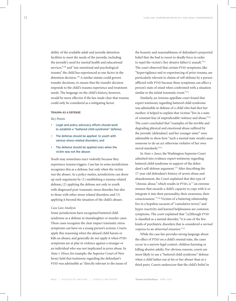ability of the available adult and juvenile detention facilities to meet the needs of the juvenile, including the juvenile's need for mental health and educational services,"<sup>169</sup> and "any emotional and psychological trauma" the child has experienced as one factor in the detention decision.<sup>170</sup> A similar statute could govern transfer decisions, to ensure that the transfer decision responds to the child's trauma experience and treatment needs. The language on the child's history, however, would be more effective if the law made clear that trauma could only be considered as a mitigating factor.

#### TRAUMA AS A DEFENSE

#### *Key Points*

- Legal and policy advocacy efforts should work to establish a "battered child syndrome" defense;
- The defense should be applied to youth with various stress-related disorders; and
- The defense should be applied even when the victim was not the abuser.

Youth may sometimes react violently because they experience trauma triggers. Case law in some jurisdictions recognizes this as a defense, but only when the victim was the abuser. As a policy matter, jurisdictions can shore up such arguments by (1) establishing a trauma-related defense; (2) applying the defense not only to youth with diagnosed post-traumatic stress disorder, but also to those with other stress-related disorders; and (3) applying it beyond the situation of the child's abuser.

#### *Case Law Analysis*

Some jurisdictions have recognized battered child syndrome as a defense in manslaughter or murder cases. These cases recognize the clear impact traumatic stress symptoms can have on a young person's actions. Courts apply this reasoning when the abused child harms or kills an abuser, and generally do not apply it when PTSD symptoms are at play in violence against a stranger or an individual who was not implicated in prior abuse. In *State v. Hines*, for example, the Superior Court of New Jersey held that testimony regarding the defendant's PTSD was admissible as "directly relevant to the issues of the honesty and reasonableness of defendant's purported belief that she had to resort to deadly force in order to repel the victim's [her abusive father's] assault."<sup>171</sup> The court observed that certain PTSD symptoms, like "hypervigilance and re-experiencing of prior trauma, are particularly relevant to claims of self-defense by a person afflicted with PTSD because these symptoms can affect a person's state of mind when confronted with a situation similar to the initial traumatic event."<sup>172</sup>

Similarly, an Arizona appellate court found that expert testimony regarding battered child syndrome was admissible in defense of a child who had shot her mother; it helped to explain that victims "live in a state of constant fear of unpredictable violence and abuse."173 The court concluded that "examples of the terrible and degrading physical and emotional abuse suffered by the juvenile [defendant] and her younger sister" were admissible to show how "such a mental state would cause someone to do an act otherwise violative of her own moral standards."174

In *State v. Janes*, the Washington Supreme Court admitted into evidence expert testimony regarding battered child syndrome in support of the defendant's self-defense argument.<sup>175</sup> After describing the 17-year-old defendant's history of severe abuse and abandonment, the Court explained that this type of "chronic abuse," which results in PTSD, is " 'an extreme stressor that exceeds a child's capacity to cope with it or integrate it into their personality, their awareness, their consciousness.' "176 Victims of a battering relationship live in a hopeless vacuum of "cumulative terror," and hyper-reactivity and learned helplessness are common symptoms. The court explained that "[a]lthough PTSD is classified as a mental disorder, "it is one of the few kinds of psychiatric disorders that is considered a *normal response* to an *abnormal situation.*"177

While the case law provides strong language about the effect of PTSD on a child's mental state, the cases occur in a narrow legal context: children harming or killing abusive adults. For obvious reasons, courts are more likely to use a "battered child syndrome" defense when a child lashes out at his or her abuser than at a third party. Courts underscore that the child's belief in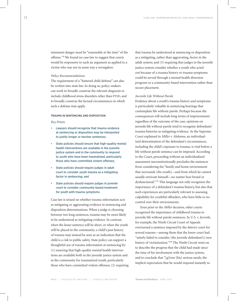imminent danger must be "reasonable at the time" of the offense.178 We found no case law to suggest that courts would be responsive to such an argument as applied to a victim who was not in some way a wrongdoer.

#### *Policy Recommendations*

The requirement of a "battered child defense" can also be written into state law. In doing so, policy-makers can work to broadly construe the relevant diagnosis to include childhood stress disorders other than PTSD, and to broadly construe the factual circumstances in which such a defense may apply.

#### TRAUMA IN SENTENCING AND DISPOSITION

#### *Key Points*

- Lawyers should recognize that trauma evidence at sentencing or disposition may be interpreted to justify longer or harsher sentences;
- State policies should ensure that high-quality mental health interventions are available in the juvenile justice system and in the community to respond to youth who have been traumatized, particularly those who have committed violent offenses;
- State policies should require judges in adult court to consider youth trauma as a mitigating factor in sentencing; and
- State policies should require judges in juvenile court to consider community-based treatment for youth with trauma symptoms.

Case law is mixed on whether trauma information acts as mitigating or aggravating evidence in sentencing and disposition determinations. When a judge is choosing between two long sentences, trauma may be more likely to be understood as mitigating evidence. In contrast, when the lesser sentence will be short, or when the youth will be placed in the community, a child's past history of trauma may instead be seen as an indication that the child is a risk to public safety. State policy can support a thoughtful use of trauma information at sentencing by: (1) ensuring that high-quality mental health interventions are available both in the juvenile justice system and in the community for traumatized youth, particularly those who have committed violent offenses; (2) requiring that trauma be understood at sentencing or disposition as a mitigating, rather than aggravating, factor in the adult system; and (3) requiring that judges in the juvenile justice system consider whether a youth who acted out because of a trauma history or trauma symptoms could be served through a mental health diversion program or a community-based intervention rather than secure placement.

#### *Juvenile Life Without Parole*

Evidence about a youth's trauma history and symptoms is particularly valuable in sentencing hearings that contemplate life without parole. Perhaps because the consequences will include long terms of imprisonment regardless of the outcome of the case, opinions on juvenile life without parole tend to recognize defendants' trauma histories as mitigating evidence. As the Supreme Court explained in *Miller v. Alabama*, an individualized determination of the defendant's circumstances, including the child's exposure to trauma, is vital before a life without parole sentence can be imposed. According to the Court, proceeding without an individualized assessment unconstitutionally precludes the sentencer from considering the "family and home environment that surrounds [the youth]—and from which he cannot usually extricate himself—no matter how brutal or dysfunctional."179 This language not only recognizes the importance of a defendant's trauma history, but also that such experiences are particularly relevant to assessing culpability for youthful offenders, who have little or no control over their environments.

Even prior to the *Miller* decision, other courts recognized the importance of childhood trauma to juvenile life without parole sentences. In *U.S. v. Juvenile*, for example, the Ninth Circuit Court of Appeals overturned a sentence imposed by the district court for several reasons—among them that the lower court had "utterly failed to consider [the juvenile defendant's] own history of victimization."<sup>180</sup> The Ninth Circuit went on to describe the progress that the child had made since the time of his involvement with the justice system, and to conclude that "[g]iven [his] serious needs, the implicit expectation that he would respond instantly to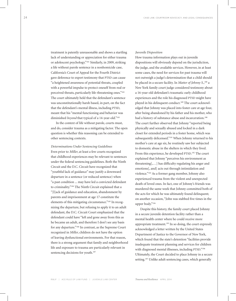treatment is patently unreasonable and shows a startling lack of understanding or appreciation for either trauma or adolescent psychology."181 Similarly, in 2009, striking a life without parole sentence in a nonhomicide case, California's Court of Appeal for the Fourth District gave deference to expert testimony that PTSD can cause "a heightened awareness of potential threats, coupled with a powerful impulse to protect oneself from real or perceived threats, particularly life-threatening ones."<sup>182</sup> The court ultimately held that the defendant's sentence was unconstitutionally harsh based, in part, on the fact that the defendant's mental illness, including PTSD, meant that his "mental functioning and behavior was diminished *beyond* that typical of a 14-year-old."<sup>183</sup>

In the context of life without parole, courts must, and do, consider trauma as a mitigating factor. The open question is whether this reasoning can be extended to other sentencing contexts.

*Determinations Under Sentencing Guidelines* Even prior to *Miller*, at least a few courts recognized that childhood experiences may be relevant to sentences under the federal sentencing guidelines. Both the Ninth Circuit and the D.C. Circuit have recognized that "youthful lack of guidance" may justify a downward departure in a sentence (or reduced sentence) when "a past condition ... may have led a convicted defendant to criminality."184 The Ninth Circuit explained that a "[l]ack of guidance and education, abandonment by parents and imprisonment at age 17 constitute the elements of this mitigating circumstance."<sup>185</sup> In recognizing the departure, but refusing to apply it to an adult defendant, the D.C. Circuit Court emphasized that the defendant could have "left and gone away from this as he became an adult, and therefore I don't see any basis for any departure."186 In contrast, as the Supreme Court recognized in *Miller,* children do not have the option of leaving dysfunctional environments. For that reason, there is a strong argument that family and neighborhood life and exposure to trauma are particularly relevant in sentencing decisions for youth.<sup>187</sup>

#### *Juvenile Disposition*

How trauma information plays out in juvenile dispositions will obviously depend on the jurisdiction, the judge, and the available services. However, in at least some cases, the need for services for past trauma will not outweigh a judge's determination that a child should be placed in a secure facility. In *Matter of Johnny S.*, 188 a New York family court judge considered testimony about a 16-year-old defendant's traumatic early childhood experiences and the role his diagnosed PTSD might have played in his delinquent conduct.<sup>189</sup> The court acknowledged that Johnny was placed into foster care at age four, after being abandoned by his father and his mother, who had a history of substance abuse and incarceration.<sup>190</sup> The court further observed that Johnny "reported being physically and sexually abused and locked in a dark closet for extended periods in a foster home, which was subsequently delicensed."<sup>191</sup> When Johnny returned to his mother's care at age six, he routinely saw her subjected to domestic abuse in the shelters in which they lived. From this experience, he developed PTSD. 192 The court explained that Johnny "perceives his environment as threatening[,…] has difficulty regulating his anger and emotions[, and] acts out through intimidation and violence."193 As a former gang member, Johnny also experienced trauma from the violent and unexpected death of loved ones. In fact, one of Johnny's friends was murdered the same week that Johnny committed both of the acts for which he was ultimately found delinquent; on another occasion, "John was stabbed five times in the upper body."194

Despite this history, the family court placed Johnny in a secure juvenile detention facility rather than a mental health center where he could receive more appropriate treatment.<sup>195</sup> In so doing, the court expressly acknowledged a letter written by the United States Department of Justice to the Governor of New York, which found that the state's detention "facilities provide inadequate treatment planning and services for children with diagnosed mental illnesses, including PTSD."196 Ultimately, the Court decided to place Johnny in a secure setting.<sup>197</sup> Unlike adult sentencing cases, which generally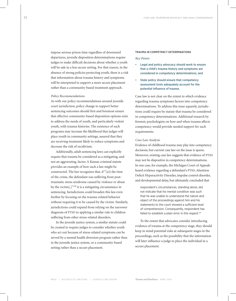impose serious prison time regardless of downward departures, juvenile disposition determinations require judges to make difficult decisions about whether a youth will be safe in a less secure setting. For that reason, in the absence of strong policies protecting youth, there is a risk that information about trauma history and symptoms will be interpreted to support a more secure placement rather than a community-based treatment approach.

#### *Policy Recommendations*

As with our policy recommendations around juvenile court jurisdiction, policy change to support better sentencing outcomes should first and foremost ensure that effective community-based disposition options exist to address the needs of youth, and particularly violent youth, with trauma histories. The existence of such programs may increase the likelihood that judges will place youth in community settings, assured that they are receiving treatment likely to reduce symptoms and decrease the risk of recidivism.

Additionally, adult sentencing laws can explicitly require that trauma be considered as a mitigating, and not an aggravating, factor. A Kansas criminal statute provides an example of how such a law might be constructed. The law recognizes that, if "[a]t the time of the crime, the defendant was suffering from posttraumatic stress syndrome caused by violence or abuse by the victim $\lbrack , \rbrack^{^{^{n_{198}}}$  it is a mitigating circumstance in sentencing. Jurisdictions could broaden this law even further by focusing on the trauma-related behavior without requiring it to be caused by the victim. Similarly, jurisdictions could expand from relying on the narrower diagnosis of PTSD to applying a similar rule to children suffering from other stress-related disorders.

In the juvenile justice system, a similar statute could be created to require judges to consider whether youth who act out because of stress-related symptoms can be served by a mental health diversion program rather than in the juvenile justice system, or a community-based setting rather than a secure placement.

#### TRAUMA IN COMPETENCY DETERMINATIONS

#### *Key Points*

- Legal and policy advocacy should work to ensure that a child's trauma history and symptoms are considered in competency determinations; and
- State policy should ensure that competency assessment tools adequately account for the potential influence of trauma.

Case law is not clear on the extent to which evidence regarding trauma symptoms factors into competency determinations. To address this issue squarely, jurisdictions could require by statute that trauma be considered in competency determinations. Additional research by forensic psychologists on how and when trauma affects competency would provide needed support for such requirements.

#### *Case Law Analysis*

Evidence of childhood trauma may play into competency decisions, but current case law on the issue is sparse. Moreover, existing case law suggests that evidence of PTSD may not be dispositive in competency determinations. In one case, for example, the Michigan Court of Appeals heard evidence regarding a defendant's PTSD, Attention Deficit Hyperactivity Disorder, impulse control disorder, and developmental delay, but ultimately concluded that

respondent's circumstances, standing alone, did not indicate that his mental condition was such that he was unable to understand the nature and object of the proceedings against him and his statements to the court showed a sufficient level of comprehension. Consequently, respondent has failed to establish a plain error in this regard.<sup>199</sup>

To the extent that advocates consider introducing evidence of trauma at the competency stage, they should keep in mind potential risks at subsequent stages in the proceedings, such as the possibility that the information will later influence a judge to place the individual in a secure placement.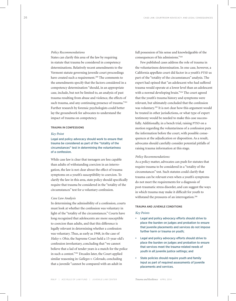#### *Policy Recommendations*

States can clarify this area of the law by requiring in statute that trauma be considered in competency determinations. Relatively recent amendments to the Vermont statute governing juvenile court proceedings have created such a requirement.<sup>200</sup> The comments to the amendments specify that the factors considered in a competency determination "should, in an appropriate case, include, but not be limited to, an analysis of past trauma resulting from abuse and violence, the effects of such trauma, and any continuing presence of trauma."<sup>201</sup> Further research by forensic psychologists could better lay the groundwork for advocates to understand the impact of trauma on competency.

#### TRAUMA IN CONFESSIONS

#### *Key Point*

Legal and policy advocacy should work to ensure that trauma be considered as part of the "totality of the circumstances" test in determining the voluntariness of a confession.

While case law is clear that teenagers are less capable than adults of withstanding coercion in an interrogation, the law is not clear about the effect of trauma symptoms on a youth's susceptibility to coercion. To clarify the law in this area, state policy should specifically require that trauma be considered in the "totality of the circumstances" test for a voluntary confession.

#### *Case Law Analysis*

In determining the admissibility of a confession, courts must look at whether the confession was voluntary in light of the "totality of the circumstances." Courts have long recognized that adolescents are more susceptible to coercion than adults, and that this difference is legally relevant in determining whether a confession was voluntary. Thus, as early as 1948, in the case of *Haley v. Ohio,* the Supreme Court held a 15-year-old's confession involuntary, concluding that "we cannot believe that a lad of tender years is a match for the police in such a contest."202 Decades later, the Court applied similar reasoning in *Gallegos v. Colorado*, concluding that a juvenile "cannot be compared with an adult in

full possession of his sense and knowledgeable of the consequences of his admissions."203

Few published cases address the role of trauma in the voluntariness determination. In one case, however, a California appellate court did factor in a youth's PTSD as part of the "totality of the circumstances" analysis. The expert had opined that "an adolescent who had suffered trauma would operate at a lower level than an adolescent with a normal developing brain."204 The court agreed that the youth's trauma history and symptoms were relevant, but ultimately concluded that the confession was voluntary.<sup>205</sup> It is not clear how this argument would be treated in other jurisdictions, or what type of expert testimony would be needed to make this case successfully. Additionally, in a bench trial, raising PTSD on a motion regarding the voluntariness of a confession puts the information before the court, with possible consequences at the adjudication or disposition. As a result, advocates should carefully consider potential pitfalls of raising trauma information at this stage.

#### *Policy Recommendations:*

As a policy matter, advocates can push for statutes that require trauma to be considered in a "totality of the circumstances" test. Such statutes could clarify that trauma can be relevant even when a youth's symptoms do not meet the requirements for a diagnosis of post-traumatic stress disorder, and can suggest the ways in which trauma may make it difficult for youth to withstand the pressures of an interrogation.<sup>206</sup>

#### TRAUMA AND JUVENILE CONDITIONS

#### *Key Points*

- Legal and policy advocacy efforts should strive to place the burden on judges and probation to ensure that juvenile placements and services do not impose further harm or trauma on youth;
- Legal and policy advocacy efforts should strive to place the burden on judges and probation to ensure that services meet the trauma-related needs of youth in all juvenile justice settings; and
- State policies should require youth and family input as part of required assessments of juvenile placements and services.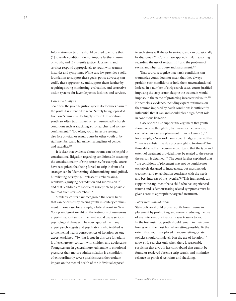Information on trauma should be used to ensure that: (1) juvenile conditions do not impose further trauma on youth; and (2) juvenile justice placements and services respond appropriately to youth with trauma histories and symptoms. While case law provides a solid foundation to support these goals, policy advocacy can codify these approaches, and support them further by requiring strong monitoring, evaluation, and corrective action systems for juvenile justice facilities and services.

#### *Case Law Analysis*

Too often, the juvenile justice system itself causes harm to the youth it is intended to serve. Simply being separated from one's family can be highly stressful. In addition, youth are often traumatized or re-traumatized by harsh conditions such as shackling, strip-searches, and solitary confinement.207 Too often, youth in secure settings also face physical or sexual abuse by other youth or by staff members, and harassment along lines of gender and sexuality.208

It is clear that evidence about trauma can be helpful in constitutional litigation regarding conditions. In assessing the constitutionality of strip searches, for example, courts have recognized that being forced to strip in front of a stranger can be "demeaning, dehumanizing, undignified, humiliating, terrifying, unpleasant, embarrassing, repulsive, signifying degradation and submission"209 and that "children are especially susceptible to possible traumas from strip searches."210

Similarly, courts have recognized the severe harm that can be caused by placing youth in solitary confinement. In one case, for example, a federal court in New York placed great weight on the testimony of numerous experts that solitary confinement would cause serious psychological damage. The court quoted the many expert psychologists and psychiatrists who testified as to the mental health consequences of isolation. As one expert explained, "'[w]hat is true in this case for adults is of even greater concern with children and adolescents. Youngsters are in general more vulnerable to emotional pressures than mature adults; isolation is a condition of extraordinarily severe psychic stress; the resultant impact on the mental health of the individual exposed

to such stress will always be serious, and can occasionally be disastrous."211 Courts have applied similar reasoning regarding the use of restraints,<sup>212</sup> and the problem of sexual and physical abuse and harassment.<sup>213</sup>

That courts recognize that harsh conditions can traumatize youth does not mean that they always prohibit such conditions or hold them unconstitutional. Indeed, in a number of strip search cases, courts justified imposing the strip search despite the trauma it would impose, in the name of protecting incarcerated youth.<sup>214</sup> Nonetheless, evidence, including expert testimony, on the trauma imposed by harsh conditions is sufficiently influential that it can and should play a significant role in conditions litigation.

Case law can also support the argument that youth should receive thoughtful, trauma-informed services, even when in a secure placement. In *In re Johnny S.*, 215 for example, a New York family court judge explained that "there is a substantive due process right to treatment" for those detained by the juvenile court, and that the type and extent of treatment provided must be related to the reason the person is detained.<sup>216</sup> The court further explained that "the conditions of placement may not be punitive nor exclusively designed to incapacitate, but must include treatment and rehabilitation consistent with the needs and best interests of the juvenile."217 This framework can support the argument that a child who has experienced trauma and is demonstrating related symptoms must be given access to appropriate, targeted treatment.

#### *Policy Recommendations*

State policies should protect youth from trauma in placement by prohibiting and severely reducing the use of any interventions that can cause trauma to youth. In the first instance, youth should remain in their own homes or in the most homelike setting possible. To the extent that youth are placed in secure settings, state policies should completely ban the use of isolation,<sup>218</sup> allow strip searches only when there is reasonable suspicion that a youth has contraband that cannot be found or retrieved absent a strip search, and minimize reliance on physical restraints and shackling.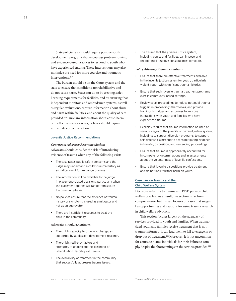State policies also should require positive youth development programs that encourage problem solving, and evidence-based practices to respond to youth who have experienced trauma. These interventions may also minimize the need for more coercive and traumatic interventions.<sup>219</sup>

The burden should be on the Court system and the state to ensure that conditions are rehabilitative and do not cause harm. States can do so by creating strict licensing requirements for facilities, and by ensuring that independent monitors and ombudsmen systems, as well as regular evaluations, capture information about abuse and harm within facilities, and about the quality of care provided.220 Once any information about abuse, harm, or ineffective services arises, policies should require immediate corrective action.<sup>221</sup>

#### Juvenile Justice Recommendations

#### *Courtroom Advocacy Recommendations*

Advocates should consider the risk of introducing evidence of trauma when any of the following exist:

- The case raises public safety concerns and the judge may understand a child's trauma history as an indication of future dangerousness.
- The information will be available to the judge in placement-related decisions, particularly when the placement options will range from secure to community-based.
- No policies ensure that the evidence of trauma history or symptoms is used as a mitigator and not as an aggravator.
- There are insufficient resources to treat the child in the community.

Advocates should accentuate:

- The child's capacity to grow and change, as supported by adolescent development research.
- The child's resiliency factors and strengths, to underscore the likelihood of rehabilitation despite past trauma.
- The availability of treatment in the community that successfully addresses trauma issues.

The trauma that the juvenile justice system, including courts and facilities, can impose, and the potential negative consequences for youth.

#### *Policy Advocacy Recommendations*

- Ensure that there are effective treatments available in the juvenile justice system for youth, particularly violent youth, with significant trauma histories.
- Ensure that such juvenile trauma treatment programs exist in community-based settings.
- Review court proceedings to reduce potential trauma triggers in proceedings themselves, and provide trainings to judges and attorneys to improve interactions with youth and families who have experienced trauma.
- Explicitly require that trauma information be used at various stages of the juvenile or criminal justice system, including: to support diversion programs; to support self-defense claims; and to act as mitigating evidence in transfer, disposition, and sentencing proceedings.
- Ensure that trauma is appropriately accounted for in competency determinations and in assessments about the voluntariness of juvenile confessions.
- Ensure that juvenile dispositions provide treatment and do not inflict further harm on youth.

### Case Law on Trauma and the Child Welfare System

Decisions referring to trauma and PTSD pervade child welfare case law. As a result, this section is far from comprehensive, but instead focuses on cases that suggest key opportunities and cautions for using trauma research in child welfare advocacy.

This section focuses largely on the adequacy of services provided to youth and families. When traumatized youth and families receive treatment that is not trauma-informed, it can lead them to fail to engage in or drop out of treatment.<sup>222</sup> Moreover, it is not uncommon for courts to blame individuals for their failure to comply, despite the shortcomings in the services provided.<sup>223</sup>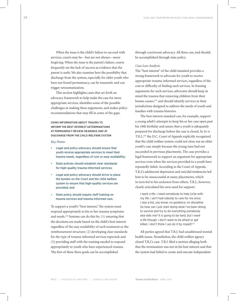When the issue is the child's failure to succeed with services, courts may be—but are not always—more forgiving. When the issue is the parent's failure, courts frequently see the lack of success as evidence that the parent is unfit. We also examine here the possibility that discharge from the system, especially for older youth who have not found permanency, can be traumatic and can trigger retraumatization.

This section highlights cases that set forth an advocacy framework to help make the case for more appropriate services, identifies some of the possible challenges in making these arguments, and makes policy recommendations that may fill in some of the gaps.

#### USING INFORMATION ABOUT TRAUMA TO INFORM THE BEST INTEREST DETERMINATIONS AT PERMANENCY REVIEW HEARINGS AND AT DISCHARGE FROM THE CHILD WELFARE SYSTEM

#### *Key Points*

- Legal and policy advocacy should ensure that youth receive appropriate services to meet their trauma needs, regardless of cost or easy availability;
- State policies should establish clear standards for high-quality trauma-informed services;
- Legal and policy advocacy should strive to place the burden on the Court and the child welfare system to ensure that high-quality services are provided; and
- State policy should require staff training on trauma services and trauma-informed care.

To support a youth's "best interest," the system must respond appropriately to his or her trauma symptoms and needs.224 Systems can do this by: (1) ensuring that the decisions are made based on the child's best interest regardless of the easy availability of such treatment or the reimbursement structure; (2) developing clear standards for the type of trauma-informed services expected; and (3) providing staff with the training needed to respond appropriately to youth who have experienced trauma. The first of these three goals can be accomplished

through courtroom advocacy. All three can, and should, be accomplished through state policy.

#### *Case Law Analysis*

The "best interest" of the child standard provides a strong framework to advocate for youth to receive appropriate trauma-informed services, regardless of the cost or difficulty of finding such services. In framing arguments for such services, advocates should keep in mind the trauma that removing children from their homes causes,<sup>225</sup> and should identify services in their jurisdictions designed to address the needs of youth and families with trauma histories.

The best interest standard can, for example, support a young adult's attempts to keep his or her case open past his 18th birthday and assure that a youth is adequately prepared for discharge before the case is closed. In *In re T.R.J.*, 226 the D.C. Court of Appeals explicitly recognized that the child welfare system could not close out an older youth's case simply because the young man had not succeeded in previous placements. The case provides a legal framework to support an argument for appropriate services even when the services provided to a youth have repeatedly failed. According to the Court of Appeals, T.R.J.'s adolescent depression and suicidal tendencies led him to be unsuccessful at many placements, which in turn led to his exclusion from others. T.R.J., however, clearly articulated his own need for support:

I want a life. I need somebody to help [m]e with my life. I ain't had nobody to care for me since I was a kid, you know, no guidance, no discipline. So how can I just start doing what I've been doing to survive and try to do everything somebody else tells me? It is going to be hard, but I want a life though. I don't want to be afraid or get killed. I don't think I can do it by myself.<sup>227</sup>

All parties agreed that T.R.J. had unaddressed mental health issues. Nonetheless, the child welfare agency closed T.R.J.'s case. T.R.J. filed a motion alleging both that the termination was not in his best interest and that the system had failed to create and execute independent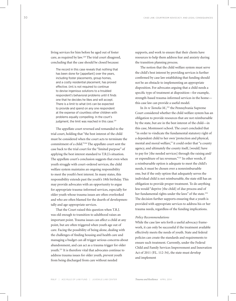living services for him before he aged out of foster care, as required by law.228 The trial court disagreed, concluding that the case should be closed because:

The record in this case reveals that nothing that has been done for [appellant] over the years, including foster placements, group homes, and a costly residential placement, has proved effective. DHS is not required to continue to devise ingenious solutions to a troubled respondent's behavioral problems until it finds one that he decides he likes and will accept. There is a limit to what DHS can be expected to provide and spend on any one respondent at the expense of countless other children with problems equally compelling. In the court's judgment, the limit was reached in this case.<sup>229</sup>

The appellate court reversed and remanded to the trial court, holding that "the best interest of the child must be considered when the court acts to terminate the commitment of a child."230 The appellate court sent the case back to the trial court for the "limited purpose" of applying the best interest standard to T.R.J.'s situation. The appellate court's conclusion suggests that even when youth struggle with court-ordered services, the child welfare system maintains an ongoing responsibility to meet the youth's best interest. In many states, this responsibility extends past the youth's 18th birthday. This may provide advocates with an opportunity to argue for appropriate trauma-informed services, especially for older youth whose trauma issues are often overlooked and who are often blamed for the dearth of developmentally and age-appropriate services.

That the Court raised this question when T.R.J. was old enough to transition to adulthood raises an important point. Trauma issues can affect a child at any point, but are often triggered when youth age out of care. Facing the possibility of being alone, dealing with the challenges of finding housing and health care and managing a budget can all trigger serious concerns about abandonment, and can act as a trauma trigger for older youth.231 It is therefore vital that advocates continue to address trauma issues for older youth, prevent youth from being discharged from care without needed

supports, and work to ensure that their clients have resources to help them address fear and anxiety during the transition planning process.

The notion that the child welfare system must serve the child's best interest by providing services is further confirmed by case law establishing that funding should not be an obstacle to implementing an appropriate disposition. For advocates arguing that a child needs a specific type of treatment at disposition—for example, strength-based trauma-informed services in the home this case law can provide a useful model.

In *In re Tameka M.*, 232 the Pennsylvania Supreme Court considered whether the child welfare system has an obligation to provide resources that are not reimbursable by the state, but are in the best interest of the child—in this case, Montessori school. The court concluded that "in order to vindicate the fundamental statutory right of a dependent child to her own 'protection and physical, mental and moral welfare,'" it could order that "a county agency, and ultimately the county itself, [would] have to pay for [the needed services] through the raising and/ or expenditure of tax revenues."233 In other words, if a reimbursable option is adequate to meet the child's needs, it must be chosen over a nonreimbursable one, but if the only option that adequately serves the individual child is not reimbursable, the state still has an obligation to provide proper treatment. To do anything less would "deprive [the child] of due process and of her fundamental rights under the laws" of the state.<sup>234</sup> The decision further supports ensuring that a youth is provided with appropriate services to address his or her trauma needs, regardless of the funding implications.

#### *Policy Recommendations*

While the case law sets forth a useful advocacy framework, it can only be successful if the treatment available effectively meets the needs of youth. State and federal policies can create the standards and requirements to ensure such treatment. Currently, under the Federal Child and Family Services Improvement and Innovation Act of 2011 (P.L. 112-34), the state must develop and implement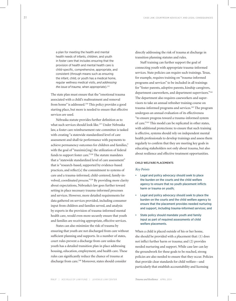a plan for meeting the health and mental health needs of infants, children, and youth in foster care that includes ensuring that the provision of health and mental health care is child-specific, comprehensive, appropriate, and consistent (through means such as ensuring the infant, child, or youth has a medical home, regular wellness medical visits, *and addressing*  the issue of trauma, when appropriate).<sup>235</sup>

The state plan must ensure that the "emotional trauma associated with a child's maltreatment and removal from home" is addressed.<sup>236</sup> This policy provides a good starting place, but more is needed to ensure that effective services are used.

Nebraska statute provides further definition as to what such services should look like.237 Under Nebraska law, a foster care reimbursement rate committee is tasked with creating "a statewide standardized level of care assessment and shall tie performance with payments to achieve permanency outcomes for children and families," with the goal of "maximiz[ing] the utilization of federal funds to support foster care."238 The statute mandates that a "statewide standardized level of care assessment" that is "research-based, supported by evidence-based practices, and reflect[s] the commitment to systems of care and a trauma-informed, child-centered, family-involved, coordinated process."239 By providing more clarity about expectations, Nebraska's law goes further toward setting in place necessary trauma-informed processes and services. However, more detailed requirements for data gathered on services provided, including consumer input from children and families served, and analysis by experts in the provision of trauma-informed mental health care, would even more securely ensure that youth and families are receiving appropriate, effective services.

States can also minimize the risk of trauma by ensuring that youth are not discharged from care without sufficient planning and supports. In a number of states, court rules prevent a discharge from care unless the youth has a detailed transition plan in place addressing housing, education, employment, and health care. These rules can significantly reduce the chance of trauma at discharge from care.<sup>240</sup> Moreover, states should consider

directly addressing the risk of trauma at discharge in transition planning statutes and rules.

Staff training can further support the goal of connecting youth with appropriate trauma-informed services. State policies can require such trainings. Texas, for example, requires training on "trauma-informed programs and services" to be included in all trainings for "foster parents, adoptive parents, kinship caregivers, department caseworkers, and department supervisors."<sup>241</sup> The department also requires caseworkers and supervisors to take an annual refresher training course on trauma-informed programs and services.<sup>242</sup> The program undergoes an annual evaluation of its effectiveness "to ensure progress toward a trauma-informed system of care."243 This model can be replicated in other states, with additional protections: to ensure that such training is effective, systems should rely on independent mental health professionals to develop trainings and assess them regularly to confirm that they are meeting key goals in educating stakeholders not only about trauma, but also about resilience and effective treatment opportunities.

#### CHILD WELFARE PLACEMENTS

#### *Key Points*

- Legal and policy advocacy should seek to place the burden on the courts and the child welfare agency to ensure that no youth placement inflicts harm or trauma on youth;
- Legal and policy advocacy should seek to place the burden on the courts and the child welfare agency to ensure that the placement provides needed nurturing and support, including trauma-informed services; and
- State policy should mandate youth and family input as part of required assessments of child welfare placements.

When a child is placed outside of his or her home, she should be provided with a placement that: (1) does not inflict further harm or trauma; and (2) provides needed nurturing and support. While case law can lay the groundwork for these goals to be reached, strong policies are also needed to ensure that they occur. Policies that provide clear standards for child welfare—and particularly that establish accountability and licensing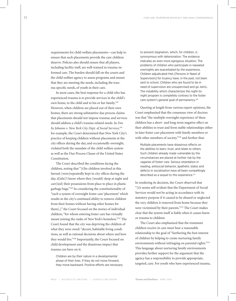requirements for child welfare placements—can help to ensure that such placements provide the care children deserve. Policies also should ensure that all players, including facility staff, are well-trained in trauma-informed care. The burden should fall on the courts and the child welfare agency to assess programs and ensure that they are meeting the needs, including the trauma-specific needs, of youth in their care.

In most cases, the best response for a child who has experienced trauma is to provide services in the child's own home, to the child and to his or her family.<sup>244</sup> However, when children are placed out of their own homes, there are strong substantive due process claims that placements should not impose trauma; and services should address a child's trauma-related needs. In *Doe by Johanns v. New York City Dept. of Social Services*, 245 for example, the Court determined that New York City's practice of keeping children without placements at the city offices during the day, and occasionally overnight, violated both the mandate of the child welfare system as well as the Due Process Clause of the United States Constitution.

The Court described the conditions facing the children, noting that "[t]he children involved in this lawsuit [were]repeatedly kept in city offices during the day, d[idn]'t know where they [would] sleep at night and carr[ied] their possessions from place to place in plastic garbage bags."246 In considering the constitutionality of "such a system of overnight foster care 'placement' which results in the city's continued ability to remove children from their homes without having other homes for them[,]" the Court focused on the stories of individual children, "for whom entering foster care has virtually meant joining the ranks of New York's homeless."247 The Court found that the city was depriving the children of what they were owed: "decent, habitable living conditions, as well as rational decisions about where and how they would live."248 Importantly, the Court focused on child development and the disastrous impact that trauma can have on it:

Children are by their nature in a developmental phase of their lives. If they do not move forward, they move backward. Positive efforts are necessary to prevent stagnation, which, for children, is synonymous with deterioration. The evidence indicates an even more egregious situation. The problems of children who participate in repeated overnights are exacerbated by the experience. Children adjudicated PINS [Persons In Need of Supervision] for truancy have, in the past, not been sent to school. Children who are found to be in need of supervision are unsupervised and go AWOL. The instability which characterizes the night-tonight program is completely contrary to the foster care system's general goal of permanency.<sup>249</sup>

Quoting at length from various expert opinions, the Court emphasized that the consensus view of doctors was that "the multiple overnight experience of these children has a short- and long-term negative effect on their abilities to trust and form stable relationships either in later foster care placement with family members or with other members of society,"250 and further that:

Multiple placements have disastrous effects on the abilities to learn, trust, and relate to others. Such children already made vulnerable by the circumstances are placed at further risk by the vagaries of foster care. Serious retardation in reading, antisocial behavior, apathetic states and defects in socialization have all been compellingly described as a sequel to this experience.<sup>251</sup>

In rendering its decision, the Court observed that "[i]t seems self-evident that the Department of Social Services would not be acting in accordance with its statutory purpose if it caused to be abused or neglected the very children it removed from home because they were victimized by their parents."252 The Court makes clear that the system itself is liable when it causes harm or trauma to children.

The Court also emphasized that the treatment children receive in care must bear a reasonable relationship to the goal of "furthering the best interest of children by helping to create nurturing family environments without infringing on parental rights."253 This language about nurturing family environments provides further support for the argument that the agency has a responsibility to provide appropriate, targeted, care. For youth who have experienced trauma,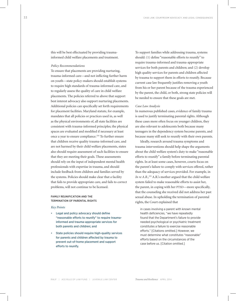this will be best effectuated by providing traumainformed child welfare placements and treatment.

#### *Policy Recommendations*

To ensure that placements are providing nurturing, trauma-informed care—and not inflicting further harm on youth—state policy-makers should establish systems to require high standards of trauma-informed care, and to regularly assess the quality of care in child welfare placements. The policies referred to above that support best interest advocacy also support nurturing placements. Additional policies can specifically set forth requirements for placement facilities. Maryland statute, for example, mandates that all policies or practices used in, as well as the physical environments of, all state facilities are consistent with trauma-informed principles; the physical spaces are evaluated and modified if necessary at least once a year to ensure compliance.<sup>254</sup> To further ensure that children receive quality trauma-informed care, and are not harmed by their child welfare placements, states also should require assessment of such facilities to ensure that they are meeting their goals. These assessments should rely on the input of independent mental health professionals with expertise in trauma, and should include feedback from children and families served by the systems. Policies should make clear that a facility that fails to provide appropriate care, and fails to correct problems, will not continue to be licensed.

#### FAMILY REUNIFICATION AND THE TERMINATION OF PARENTAL RIGHTS

#### *Key Points*

- Legal and policy advocacy should define "reasonable efforts to reunify" to require traumainformed and trauma-appropriate services for both parents and children; and
- State policies should require high-quality services for parents and children affected by trauma to prevent out-of-home placement and support efforts to reunify.

To support families while addressing trauma, systems should: (1) define "reasonable efforts to reunify" to require trauma-informed and trauma-appropriate services for both parents and children; and (2) develop high quality services for parents and children affected by trauma to support them in efforts to reunify. Because current case law frequently justifies removing a youth from his or her parent because of the trauma experienced by the parent, the child, or both, strong state policies will be needed to ensure that these goals are met.

#### *Case Law Analysis*

In numerous published cases, evidence of family trauma is used to justify terminating parental rights. Although these cases more often focus on younger children, they are also relevant to adolescents both because many teenagers in the dependency system become parents, and because many still seek to reunify with their own parents.

Ideally, research around trauma symptoms and trauma interventions should help shape the arguments about the child welfare system's duty to make "reasonable efforts to reunify" a family before terminating parental rights. In at least some cases, however, courts focus on the parent's failure to comply with services offered, rather than the adequacy of services provided. For example, in *In re A.R.*, 255 A.R.'s mother argued that the child welfare system failed to make reasonable efforts to assist her, the parent, in coping with her PTSD—more specifically, that the counseling she received did not address her past sexual abuse. In upholding the termination of parental rights, the Court explained that

in cases involving a parent with known mental health deficiencies, "we have repeatedly found that the Department's failure to provide needed psychological or psychiatric treatment constitutes a failure to exercise reasonable efforts." [Citations omitted.] However, we must determine what constitutes "reasonable" efforts based on the circumstances of the case before us. [Citation omitted.]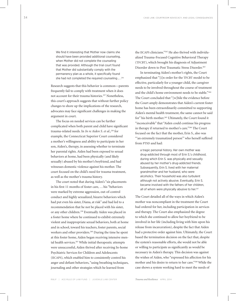We find it interesting that Mother now claims she should have been provided additional counseling, when Mother did not complete the counseling that was provided. Although the trial court found that Mother did substantially comply with the permanency plan as a whole, it specifically found she had not completed the required counseling ... . 256

Research suggests that this behavior is common—parents frequently fail to comply with treatment when it does not account for their trauma histories.<sup>257</sup> Nonetheless, this court's approach suggests that without further policy changes to shore up the implications of the research, advocates may face significant challenges in making the argument in court.

The focus on needed services can be further complicated when both parent and child have significant trauma-related needs. In *In re Aiden S. et al.*, 258 for example, the Connecticut Superior Court considered a mother's willingness and ability to participate in her son, Aiden's, therapy, in assessing whether to terminate her parental rights. Aiden had been exposed to sexual behaviors at home, had been physically (and likely sexually) abused by his mother's boyfriend, and had witnesses domestic violence against his mother. The court focused on the child's need for trauma treatment, as well as the mother's trauma history.

The court noted that during Aiden's "six placements in his first 11 months of foster care, …his "behaviors were marked by extreme aggression, out-of-control conduct and highly sexualized, bizarre behaviors which had put even his sister, Diana, at risk" and had led to a recommendation that he not be placed with his sister, or any other children.259 Eventually Aiden was placed in a foster home where he continued to exhibit extremely violent and inappropriate sexual behaviors, both at home and in school, toward his teachers, foster parents, social workers and other providers.260 During the time he spent at this foster home, Aiden began receiving intensive mental health services.<sup>261</sup> While initial therapeutic attempts were unsuccessful, Aiden thrived after receiving In-home Psychiatric Services for Children and Adolescents (IICAPS), which enabled him to consistently control his anger and defiant behaviors, "using breathing techniques, journaling and other strategies which he learned from

the IICAPS clinicians."262 He also thrived with individualized Trauma-Focused Cognitive Behavioral Therapy (TFCBT), which brought his diagnosis of Adjustment Disorder down to Post Traumatic Stress Disorder.<sup>263</sup>

In terminating Aiden's mother's rights, the Court emphasized that "[i]n order for the TFCBT model to be effective, particularly for a younger child, the caregiver needs to be involved throughout the course of treatment and the child's home environment needs to be stable."264 The Court concluded that "[w]hile the evidence before the Court amply demonstrates that Aiden's current foster home has been extraordinarily committed to supporting Aiden's mental health treatment, the same cannot be said for" his birth mother.<sup>265</sup> Ultimately, the Court found it "inconceivable" that "Aiden could continue his progress in therapy if returned to mother's care."266 The Court focused on the fact that the mother, Erin S., also was "'an extremely traumatized person'" who herself suffered from PTSD and had:

a tragic personal history. Her own mother was drug-addicted through most of Erin S.'s childhood, during which Erin S. was physically and sexually abused by her mother's drug-addicted friends. Subsequently, Erin S. lived with her maternal grandmother and her husband, who were alcoholics. Their household was also turbulent although not actively abusive. Eventually, Erin S. became involved with the fathers of her children, all of whom were physically abusive to her.<sup>267</sup>

The Court detailed all of the ways in which Aiden's mother was noncompliant in the treatment the Court had ordered for her, including participation in services and therapy. The Court also emphasized the degree to which she continued to allow her boyfriend to be involved in her life (including living with him upon his release from incarceration), despite the fact that Aiden had a protective order against him. Ultimately, the Court based the termination decision on the fact that, despite the system's reasonable efforts, she would not be able or willing to participate as significantly as would be necessary in Aiden's therapy. This decision was against the wishes of Aiden, who "expressed his affection for his mother and his desire to return to her care."268 While the case shows a system working hard to meet the needs of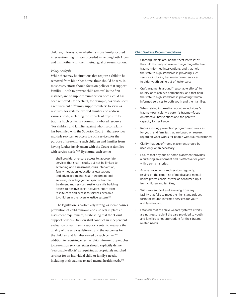children, it leaves open whether a more family-focused intervention might have succeeded in helping both Aiden and his mother with their mutual goal of re-unification.

#### *Policy Analysis*

While there may be situations that require a child to be removed from his or her home, these should be rare. In most cases, efforts should focus on policies that support families—both to prevent child removal in the first instance, and to support reunification once a child has been removed. Connecticut, for example, has established a requirement of "family support centers" to serve as resources for system-involved families and address various needs, including the impacts of exposure to trauma. Each center is a community-based resource "for children and families against whom a complaint has been filed with the Superior Court ... that provides multiple services, or access to such services, for the purpose of preventing such children and families from having further involvement with the Court as families with service needs."269 By statute, each center

shall provide, or ensure access to, appropriate services that shall include, but not be limited to, screening and assessment, crisis intervention, family mediation, educational evaluations and advocacy, mental health treatment and services, including gender specific trauma treatment and services, resilience skills building, access to positive social activities, short-term respite care and access to services available to children in the juvenile justice system.<sup>270</sup>

The legislation is particularly strong, as it emphasizes prevention of child removal, and also sets in place an assessment requirement, establishing that the "Court Support Services Division shall conduct an independent evaluation of each family support center to measure the quality of the services delivered and the outcomes for the children and families served by such center."271 In addition to requiring effective, data informed approaches to prevention services, states should explicitly define "reasonable efforts" as requiring appropriately matched services for an individual child or family's needs, including their trauma-related mental health needs.<sup>272</sup>

#### Child Welfare Recommendations

- Craft arguments around the "best interest" of the child that rely on research regarding effective trauma-informed interventions, and that hold the state to high standards in providing such services, including trauma-informed services to older youth aging out of foster care;
- Craft arguments around "reasonable efforts" to reunify or to achieve permanency, and that hold the state to high standards in providing traumainformed services to both youth and their families;
- When raising information about an individual's trauma—particularly a parent's trauma—focus on effective interventions and the parent's capacity for resilience;
- Require strong prevention programs and services for youth and families that are based on research regarding what works for people with trauma histories;
- Clarify that out-of-home placement should be used only when necessary;
- Ensure that any out-of-home placement provides a nurturing environment and is effective for youth with trauma histories;
- Assess placements and services regularly, relying on the expertise of medical and mental health professionals, as well as consumer input from children and families;
- Withdraw support and licensing from any facility that fails to meet the high standards set forth for trauma-informed services for youth and families; and
- Establish that the child welfare system's efforts are not reasonable if the care provided to youth and families is not appropriate for their traumarelated needs.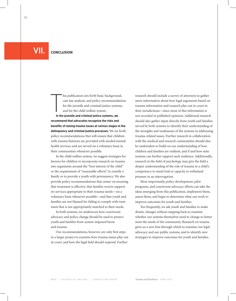## **CONCLUSION**

 $\begin{array}{c} \hline \begin{array}{c} \hline \end{array} \\ \hline \end{array}$ his publication sets forth basic background, case law analysis, and policy recommendations for the juvenile and criminal justice systems, and for the child welfare system.

**In the juvenile and criminal justice systems, we recommend that advocates recognize the risks and benefits of raising trauma issues at various stages in the delinquency and criminal justice processes.** We set forth policy recommendations that will ensure that children with trauma histories are provided with needed mental health services, and are served on a voluntary basis in their communities whenever possible.

In the child welfare system, we suggest strategies for lawyers for children to incorporate research on trauma into arguments around the "best interest of the child" or the requirement of "reasonable efforts" to reunify a family or to provide a youth with permanency. We also provide policy recommendations that center on ensuring that treatment is effective, that families receive supportive services appropriate to their trauma needs—on a voluntary basis whenever possible—and that youth and families are not blamed for failing to comply with treatment that is not appropriately matched to their needs.

In both systems, we underscore how courtroom advocacy and policy change should be used to protect youth and families from system-imposed harm and trauma.

Our recommendations, however, are only first steps in a larger project to examine how trauma issues play out in court, and how the legal field should respond. Further

research should include a survey of attorneys to gather more information about how legal arguments based on trauma information and research play out in court in their jurisdictions—since most of this information is not recorded in published opinions. Additional research should also gather input directly from youth and families served by both systems to identify their understanding of the strengths and weaknesses of the systems in addressing trauma-related issues. Further research in collaboration with the medical and research communities should also be undertaken to build on our understanding of how children and families are resilient, and if and how state systems can further support such resilience. Additionally, research in the field of psychology may give the field a deeper understanding of the role of trauma in a child's competency to stand trial or capacity to withstand pressure in an interrogation.

More importantly, policy development, pilot programs, and courtroom advocacy efforts can take the ideas emerging from this publication, implement them, assess them, and begin to determine what can work to improve outcomes for youth and families.

Too frequently, we ask youth and families to make drastic changes without stepping back to examine whether our systems themselves need to change to better meet the needs of the community. Research on trauma gives us a new lens through which to examine our legal advocacy and our public systems, and to identify new strategies to improve outcomes for youth and families.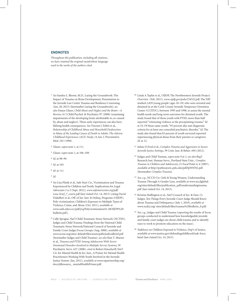#### **ENDNOTES**

*Throughout this publication, including all citations, we have retained the original racial/ethnic language used in the works of the authors cited.*

- 1 *See* Sandra L. Bloom, M.D., Laying the Groundwork: The Impact of Trauma on Brain Development, Presentation to the Juvenile Law Center Trauma and Resilience Convening (Jan. 28, 2013) [hereinafter Laying the Groundwork]; *see also* Danya Glaser, *Child Abuse and Neglect and the Brain—A Review*, 41 J Child Psychol. & Psychiatry 97 (2000) (examining impairments of the developing brain attributable to, or caused by, abuse and neglect). These early experiences can also have lifelong health consequences. *See* Vincent J. Felitti et al., *Relationship of Childhood Abuse and Household Dysfunction to Many of the Leading Causes of Death in Adults: The Adverse Childhood Experiences (ACE) Study*, 14 Am. J. Preventative Med. 245 (1998).
- 2 Glaser, *supra* note 1, at 111.
- 3 Glaser, *supra* note 1, at 106–109.
- 4 *Id.* at 98–99.
- 5 *Id.* at 103.
- 6 *Id.* at 111.
- 7 *Id.*
- 8 *See* Lisa Pilnik et al., Safe Start Ctr., Victimization and Trauma Experienced by Children and Youth: Implications for Legal Advocates 2 n.3 (Sept. 2012), *www.safestartcenter.org/pdf/ issue-brief\_7\_courts.pdf* (last visited Oct. 14, 2013) (citing David Finkelhor et al., Off. of Juv. Just. & Delinq. Programs (OJJDP), Poly-victimization: Children's Exposure to Multiple Types of Violence, Crime, and Abuse (Oct. 2011), *available at* www.unh.edu/ccrc/pdf/jvq/Polyvictimization% 20OJJDP%20 bulletin.pdf).
- 9 Cally Sprague, Nat'l Child Traumatic Stress Network (NCTSN), Judges and Child Trauma: Findings from the National Child Traumatic Stress Network/National Council of Juvenile and Family Court Judges Focus Groups (Aug. 2008), *available at* www.nctsn.org/sites/ default/files/assets/pdfs/judicialbrief.pdf [hereinafter Judges and Child Trauma]; *see also* Kim T. Mueser et al., *Trauma and PTSD Among Adolescents With Severe Emotional Disorders Involved in Multiple Service Systems*, 59 Psychiatric Servs. 627 (2008), *cited in* Robert Kinscherff, Nat'l Ctr. for Mental Health & Juv. Just., A Primer for Mental Health Practitioners Working With Youth Involved in the Juvenile Justice System (Jan. 2012), *available at* www.tapartnership.org/ docs/jjResource\_ mentalHealthPrimer.pdf.
- 10 Linda A Teplin et al., OJJDP, The Northwestern Juvenile Project: Overview (Feb. 2013), *www.ojjdp.gov/pubs/234522.pdf*. The NJP studied 1,829 young people (ages 10–18) who were arrested and detained in at the Cook County Juvenile Temporary Detention Center (CCJTDC), between 1995 and 1998, to assess the mental health needs and long-term outcomes for detained youth. The study found that of those youth with PTSD, more than half reported "witnessing violence as the precipitating trauma." *Id.*  at 10. Of those same youth, "93 percent also met diagnostic criteria for at least one comorbid psychiatric disorder." *Id.* The study also found that 83 percent of youth surveyed reported experiencing physical abuse from their parents or caregivers. *Id.* at 12.
- 11 Julian D Ford et al., *Complex Trauma and Aggression in Secure Juvenile Justice Settings,* 39 Crim. Just. & Behav. 694 (2012).
- 12 Judges and Child Trauma, *supra* note 9 at 1; *see also* Reg'l Research Inst. Human Servs., Portland State Univ., *Complex Trauma in Children and Adolescents*, 21 Focal Point 4, 4 (2007), *available at* http://pathwaysrtc.pdx.edu/pdf/fpW0702.pdf [hereinafter *Complex Trauma*].
- 13 *See, e.g.*, NCCD Ctr. Girls & Young Women, Understanding Trauma Through A Gender Lens, *available at* www.nccdglobal. org/sites/default/files/publication\_pdf/understandingtrauma. pdf (last visited Oct. 14, 2013).
- 14 Kristine Buffington et al., Nat'l Council of Juv. & Fam. Ct. Judges, Ten Things Every Juvenile Court Judge Should Know about Trauma and Delinquency (July 1, 2010), *available at* www.ncjfcj.org/ sites/default/files/trauma%20bulletin\_0.pdf.
- 15 *See, e.g.*, Judges and Child Trauma (reporting the results of focus groups conducted to understand how knowledgeable juvenile and family court judges are about child trauma and to identify ways to work to promote education on the issue).
- 16 Taskforce on Children Exposed to Violence, Dep't of Justice, *available at* www.justice.gov/defendingchildhood/task-force. html (last visited Oct. 14, 2013).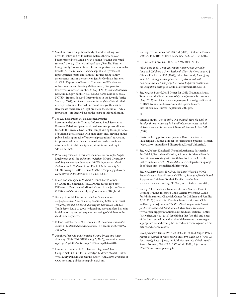17 Simultaneously, a significant body of work is asking how juvenile justice and child welfare systems themselves can better respond to trauma, or can become "trauma-informed systems." *See, e.g*., Cheryl Smithgall et al., Families' Futures: Using Family Assessments to Inform Perspectives on Reasonable Efforts (2012), *available at* www.chapinhall.org/research/ report/parents'-pasts-and-families'-futures-using-familyassessments-inform-perspectives; Jenifer Goldman Fraser et al., Child Exposure to Trauma: Comparative Effectiveness of Interventions Addressing Maltreatment, Comparative Effectiveness Review Number 89 (April 2013) *available at* www. ncbi.nlm.nih.gov/books/NBK137808/; Karen Mahoney et al., NCTSN, Trauma-Focused Interventions in the Juvenile Justice System*,* (2004), *available at* www.nctsn.org/sites/default/files/ assets/pdfs/trauma\_focused\_interventions\_youth\_jjsys.pdf. Because we focus here on legal practices, these studies—while important—are largely beyond the scope of this publication.

- 18 *See, e.g.,* Eliza Patten &Talia Kraemer, Practice Recommendations for Trauma-Informed Legal Services: A Focus on Relationship (unpublished manuscript) (outline on file with the Juvenile Law Center) (emphasizing the importance of building a relationship with one's client and, drawing on the public health approach of "universal precautions," advocating for preventively adopting a trauma-informed stance in *all*  attorney-client relationships and, at minimum seeking to "do no harm").
- 19 Promising research in this area includes, for example, Angela Duckworth et al., *From Fantasy to Action: Mental Contrasting with Implementation Intentions (MCII) Improves Academic Performance in Children*, 4 Soc. Psychol. & Personality Sci. 745 (February 11, 2013), *available at* http://spp.sagepub.com/ content/earl y/2013/02/08/1948550613476307.
- 20 Eileen Poe Yamagata & Michael A. Jones, Nat'l Council on Crime & Delinquency (NCCD) And Justice for Some: Differential Treatment of Minority Youth in the Justice System (2000), *available at* www.cclp.org/documents/BBY/jfs.pdf.
- 21 *See, e.g.*, Alice M. Hines et al., *Factors Related to the Disproportionate Involvement of Children of Color in the Child Welfare System: A Review and Emerging Themes*, 26 Child. & Youth Servs. Rev. 507 (2008) (describing race and class biases in initial reporting and subsequent processing of children in the child welfare system).
- 22 E. Jane Costello et al., *The Prevalence of Potentially Traumatic Events in Childhood and Adolescence*, 15 J. Traumatic Stress 99, 101 (2002).
- 23 *Number of Suicide and Homicide Victims by Age and Race/ Ethnicity, 1990–2010*, OJJDP (Aug. 5, 2013), *available at* www. ojjdp.gov/ojstatbb/victims/qa02703.asp?qaDate=2010.
- 24 Hines et al., *supra* note 21; Shannon Stagman & Janice L. Cooper, Nat'l Ctr. Child. in Poverty, Children's Mental Health: What Every Policymaker Should Know, (Apr. 2010), *available at* www.nccp.org/ publications/pub\_929.html.
- 25 *See* Roper v. Simmons, 543 U.S. 551 (2005); Graham v. Florida, 560 U.S. 48 (2010); Miller v. Alabama*,* 132 S. Ct. 2455 (2012).
- 26 JDB v. North Carolina, 131 S. Ct. 2394, 2403 (2011).
- 27 Julian Ford et al., *Complex Trauma Among Psychiatrically Impaired Children: a Cross-Sectional, Chart-Review Study*, 70 J. Clinical Psychiatry 1155 (2009); Julian Ford et al., *Identifying and Determining the Symptom Severity Associated with Polyvictimization Among Psychiatrically Impaired Children in the Outpatient Setting.* 16 Child Maltreatment 216 (2011).
- 28 *See, e.g.*, Sue Burrell, Nat'l Center for Child Traumatic Stress, Trauma and the Environment of Care in Juvenile Institutions (Aug. 2013), *available at* www.njjn.org/uploads/digital-library/ NCTSN\_trauma-and-environment-of-juvenile-careinstitutioan\_Sue-Burrell\_September-2013.pdf.

29 *Id*.

- 30 Sandra Simkins, *Out of Sight, Out of Mind: How the Lack of Postdipositional Advocacy in Juvenile Court increases the Risk of Recidivism and Institutional Abuse,* 60 Rutgers L. Rev. 207 (2007).
- 31 Christina L. Riggs Romaine, Juvenile Decertification in Philadelphia County: a Model for Jurisdiction-Specific Research (May 2010) (unpublished dissertation, Drexel University).
- 32 *See, e.g.*, Robert Kinscherff, Technical Assistance Partnership for Child & Fam. Mental Health, A Primer for Mental Health Practitioners Working With Youth Involved in the Juvenile Justice System (Jan. 2012), *available at* www.tapartnership.org/ docs/jjResource\_mentalHealthPrimer.pdf.
- 33 *See, e.g.*, Marty Beyer, *Too Little, Too Late; Where Do We Go From Here to Achieve Reasonable Efforts?,* Strengths/Needs-Based Support for Children, Youth & Families, *available at* www.martybeyer.com/page/43/99/ (last visited Oct. 24, 2013).
- 34 *See, e.g.*, The Chadwick Trauma-Informed Systems Project, Creating Trauma-Informed Child Welfare Systems: A Guide for Administrators, Chadwick Center for Children and Families 7, 10 (2013) [hereinafter Creating Trauma-Informed Child Welfare Systems]; *see also The Risk-Need-Responsivity Model for Assessment and Rehabilitation*, Urban Inst., *available at* www.urban.org/projects/tjc/toolkit/module5/section2\_1.html (last visited Apr. 10, 2014) (explaining that "the risk and needs of the incarcerated individual should determine the strategies appropriate for addressing the individual's criminogenic factors before and after release").
- 35 *See, e.g.*, State v. Hines, 696 A.2d 780, 786–88 (N.J. Super. 1997); Matter of Appeal in Maricopa County, 893 P.2d 60, 63 (Ariz. Ct. App. 1994); State v. Janes, 850 P.2d 495, 496–503 (Wash. 1993); State v. Nemeth, 694 N.E.2d 1332 (Ohio 1998); *infra* notes 165–172 and accompanying text.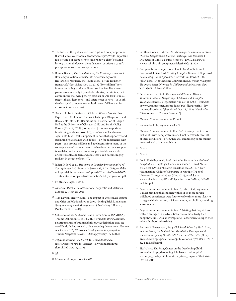- 36 The focus of this publication is on legal and policy approaches that will affect courtroom advocacy strategies. While important, it is beyond our scope here to explore how a client's trauma history shapes the lawyer-client dynamic, or affects a youth's perception of courtroom experiences.
- 37 Bonnie Benard, *The Foundations of the Resiliency Framework*, Resiliency in Action, *available at* www.resiliency.com/ free-articles-resources/ the-foundations -of-the-resiliencyframework/ (last visited Oct. 14, 2013) (For children "born into seriously high-risk conditions such as families where parents were mentally ill, alcoholic, abusive, or criminal, or in communities that were poverty-stricken or war-torn" studies suggest that at least 50%—and often closer to 70%—of youth develop social competence and lead successful lives despite exposure to severe stress).
- 38 *See, e.g.*, Robert Harris et al., Children Whose Parents Have Experienced Childhood Trauma: Challenges, Obligations, and Reasonable Efforts for Reunification, Presentation at Chapin Hall at the University of Chicago: Child and Family Policy Forum (May 14, 2013) (noting that "[a] return to positive functioning is always possible"); *see also Complex Trauma*, *supra* note 12 at 5 ("It is important to note that supportive and sustaining relationships with adults— or, for adolescents, with peers—can protect children and adolescents from many of the consequences of traumatic stress. When interpersonal support is available, and when stressors are predictable, escapable, or controllable, children and adolescents can become highly resilient in the face of stress.").
- 39 Julian D. Ford et al., *Treatment of Complex Posttraumatic Self-Dysregulation*, 18 J. Traumatic Stress 437, 442 (2005), *available at* http://delphicentre.com.au/uploads/Courtois-C-et-al-2005- Treatment-of-Complex-Posttraumatic-Self-Dysregulation.pdf.
- 40 Felitti et al., *supra* note 1.
- 41 American Psychiatric Association, Diagnostic and Statistical Manual 271 (5th ed. 2013).
- 42 Tian Dayton, Heartwounds: The Impact of Unresolved Trauma and Grief on Relationships 41 (1997) [citing Erich Lindemann, *Symptomatology and Management of Acute Grief*, 101 Am. J. Psychiatry 141 (1944)].
- 43 Substance Abuse & Mental Health Servs. Admin. (SAMHSA), Trauma Definition (Dec. 10, 2013), *available at* www.samhsa. gov/traumajustice/traumadefinition/%20definition.aspx; *see also* Wendy D'Andrea et al., *Understanding Interpersonal Trauma in Children: Why We Need a Developmentally Appropriate Trauma Diagnosis,* 82 Am. J. Orthopsychiatry 187 (2012).
- 44 *Polyvictimization*, Safe Start Ctr., *available at* www. safestartcenter.org/pdf/ Tipsheet\_Polyvictimization.pdf (last visited Oct. 14, 2013).
- 45 *Id.*
- 46 Mueser et al., *supra* note 8 at 632.
- 47 Judith A. Cohen & Michael S. Scheeringa, *Post-traumatic Stress Disorder Diagnosis in Children: Challenges and Promises*, 11 Dialogues in Clinical Neuroscience 91 (2009), *available at* www.ncbi.nlm. nih.gov/pmc/articles/PMC3181905.
- 48 Complex Trauma, *supra* note 11 at 4. *See also* Christine A. Courtois & Julian Ford, *Treating Complex Trauma: A Sequenced Relationship-Based Approach*. New York: Guilford (2013); Julian Ford, JD, & Christine Courtois, (Eds.). *Treating Complex Traumatic Stress Disorders in Children and Adolescents*. New York: Guilford Press (2013).
- 49 Bessel A. van der Kolk, *Developmental Trauma Disorder: Towards a Rational Diagnosis for Children with Complex Trauma Histories*, 35 Psychiatric Annals 401 (2005), *available at* www.traumacenter.org/products/ pdf\_files/preprint\_ dev\_ trauma\_disorder.pdf (last visited Oct. 14, 2013) [Hereinafter "Developmental Trauma Disorder"].
- 50 *Complex Trauma*, *supra* note 12, at 4.
- 51 *See* van der Kolk, *supra* note 49 at 3.
- 52 *Complex Trauma*, *supra* note 12 at 5–6. It is important to note that youth with complex trauma will not necessarily meet all of these conditions—often, they will exhibit only some but not necessarily all of these problems.
- 53 *Id.* at 4.
- 54 *Id.* at 6.
- 55 David Finkelhor et al., *Revictimization Patterns in a National Longitudinal Sample of Children and Youth*, 31 Child Abuse & Neglect 479 (2007); David Finkelhor et al., OJJDP, Polyvictimization: Children's Exposure to Multiple Types of Violence, Crime, and Abuse (Oct. 2011), *available at* www.unh.edu/ccrc/pdf/jvq/Polyvictimization%20OJJDP%20 bulletin.pdf.
- 56 *Poly-victimization*, *supra* note 44 at 5; Felitti et al., *supra* note 1 at 245 (finding that children with four or more adverse childhood experiences were four to twelve times more likely to struggle with depression, suicide attempts, alcoholism, and drug abuse as adults).
- 57 *Poly-victimization*, *supra* note 44 at 5 (stating that Polyvictims, with an average of 4.7 adversities, are also more likely than nonpolyvictims, with an average of 2.1 adversities, to experience other adulthood adversities).
- 58 Andrew S. Garner et al., *Early Childhood Adversity, Toxic Stress, and the Role of the Pediatrician: Translating Developmental Science into Lifelong Health*, 129 Pediatrics e224, e225 (2012), *available at* http://pediatrics.aappublications.org/content/129/1/ e224. full.pdf+html.
- 59 *Toxic Stress: The Facts*, Center on the Developing Child, *available at* http://developingchild.harvard.edu/topics/ science\_of\_ early\_childhood/toxic\_stress\_response/ (last visited Oct. 14, 2013).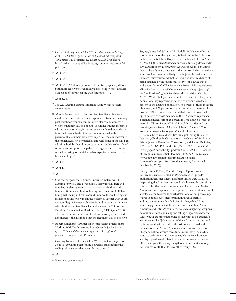- 60 Garner et al., *supra* note 58 at 225; *see also* Benjamin S. Siegel et al., *The Lifelong Effects of Early Childhood Adversity and Toxic Stress*, 129 Pediatrics e232, e236 (2012), *available at* http://pediatrics. aappublications.org/content/129/1/e232.full. pdf+html.
- 61 *Id.* at e237.
- 62 *Id.* at e237.
- 63 *Id.* at e237 ("Children [who faced toxic stress] appear[ed] to be both more reactive to even mildly adverse experiences and less capable of effectively coping with future stress.").
- 64 *Id.* at e236.
- 65 *See, e.g.*, Creating Trauma-Informed Child Welfare Systems, *supra* note 34.
- 66 *Id.* at 14 (observing that "[m]ost birth families with whom child welfare interacts have also experienced trauma; including past childhood trauma, community violence, and domestic violence that may still be ongoing. Providing trauma-informed education and services, including evidence -based or evidenceinformed mental health interventions as needed, to birth parents enhances their protective capacities, thereby increasing the resilience, safety, permanency, and well-being of the child. In addition, both birth and resource parents should also be offered training and support to help them manage secondary trauma related to caring for a child who has experienced trauma and his/her siblings.").
- 67 *Id.* at 15.
- 68 *Id.* at 42.
- 69 *Id.*
- 70 One tool suggests that a trauma-informed system will: 1) Maximize physical and psychological safety for children and families; 2) Identify trauma-related needs of children and families; 3) Enhance child well-being and resilience; 4) Enhance family well-being and resilience; 5) Enhance the well-being and resilience of those working in the system; 6) Partner with youth and families; 7) Partner with agencies and systems that interact with children and families. Chadwick Center for Children and Families, Trauma System Readiness Tool (TSRT) (June 2013). This both minimizes the risk of re-traumatizing a youth, and also increases the likelihood that the treatment will be effective.
- 71 Robert Kinscherff, A Primer for Mental Health Practitioners Working With Youth Involved in the Juvenile Justice System (Jan. 2012), *available at* www.tapartnership.org/docs/ jjResource\_mentalHealthPrimer.pdf.
- 72 Creating Trauma-Informed Child Welfare Systems, *supra* note 33 at 14 (explaining that feeling powerless can reinforce the feelings of powerless that occur during trauma).

#### 73 *Id.*

74 Hines et al., *supra* note 21.

- 75 *See, e.g.*, James Bell & Laura John Ridolfi, W. Haywood Burns Inst., Adoration of the Question; Reflections on the Failure to Reduce Racial & Ethnic Disparities in the Juvenile Justice System 2 (Dec. 2008) , *available at* www.burnsinstitute.org/downloads/ BI%20Adoration%20of%20the%20Question.pdf (explaining that in virtually every state across the country, African American youth are five times more likely to be in juvenile justice custody than are white youth, and that for Latino youth, the chance of being detained by the juvenile justice system is twice that of white youth); *see also* The Sentencing Project, Disproportionate Minority Contact 1, *available at* www.sentencingproject.org/ doc/publications/jj\_DMCfactsheet.pdf (last visited Oct. 14, 2013) ("While black youth account for 17 percent of the youth population, they represent 28 percent of juvenile arrests, 37 percent of the detained population, 38 percent of those in secure placement, and 58 percent of youth committed to state adult prison."). Other studies have found that youth of color make up 71 percent of those detained in the U.S., which represents a dramatic increase from 28 percent in 1985 and 63 percent in 1997. *See* Clinton Lacey, NCTSN, Racial Disparities and the Juvenile Justice System: A Legacy of Trauma 3 (Aug. 2013), *available at* www.nctsn.org/sites/default/files/assets/pdfs/ jj\_trauma\_brief\_racialdisparities\_final.pdf (citing Bureau of Just. Stat., Children in Custody, 1975-85: Census of Public and Private Juvenile Detention, Correctional, and Shelter Facilities, 1975, 1977, 1979, 1983, and 1985 (May 1, 1989), *available at* www.bjs.gov/index.cfm?ty=pbdetail&iid=3729; OJJDP, Census of Juveniles in Residential Placement, 1997 & 2010, *available at*  www.ojjdp.gov/ojstatbb/ezacjrp/asp/Age\_Sex.asp (choose relevant year from dropdown menu) (last visited October 14, 2013)).
- 76 *See, e.g.*, Anne E. Casey Found., Unequal Opportunities for Juvenile Justice 3, *available at* www.aecf.org/upload/ publicationfiles/ fact\_sheet12.pdf (last visited Oct. 14, 2013) (explaining that "[w]hen compared to White youth committing comparable offenses, African American Latino/a, and Native American youth experience more punitive treatment in terms of arrests, referral to juvenile court, detention, formal processing, waiver to adult court, incarceration in juvenile facilities, and incarceration in adult facilities. Further, while White youth engage in unlawful behaviors more than their African American and Latino/a counterparts, such as fighting, weapons possession crimes, and using and selling drugs, data show that White youth are more than twice as likely not to be arrested"). More specifically, "[e]ven when White, African American, and Latino/a youth with no prior admissions are charged with the same offense, African American youth are six times more likely and Latino/a youth three times more likely than White youth to be incarcerated. In 26 states, Native American youth are disproportionately placed in secure confinement. In every offense category, the average length of confinement was longer for Latino/a youth than for any other group"). *Id*.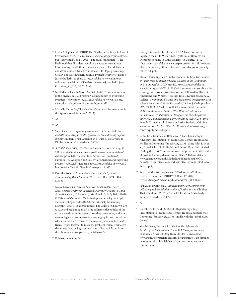- 77 Linda A. Teplin et al., OJJDP, The Northwestern Juvenile Project: Overview, (Feb. 2013), *available at* www.ojjdp.gov/pubs/234522. pdf (last visited Oct. 14, 2013). The study found that "[t] he likelihood that disorders would be detected or treated was… lower among racial/ethnic minorities, males, older detainees, and detainees transferred to adult court for legal processing." OJJDP, The Northwestern Juvenile Project: Overview, Juvenile Justice Bulletin 13 (Feb. 2013), *available at* www.njjn.org/ uploads/ digital-library/The-Northwestern-Juvenile-Project-Overview\_ OJJDP\_Feb2013.pdf.
- 78 Nat'l Mental Health Assoc., Mental Health Treatment for Youth in the Juvenile Justice System; A Compendium of Promising Practices (November 15, 2012), *available at* www.nttac.org/ views/docs/jabg/mhcurriculum/mh\_mht.pdf
- 79 Michelle Alexander, The New Jim Crow: Mass Incarceration in the Age of Colorblindness 7 (2012).
- 80 *Id.*
- 81 *Id.*
- 82 Sara Steen et al., *Explaining Assessments of Future Risk: Race and Attributions of Juvenile Offenders in Presentencing Reports*, *in* Our Children, Their Children 248 (Darnell F. Hawkins & Kimberly Kempf-Leonard eds., 2005).
- 83 *A Child's Day: 2009*, U.S. Census Bureau (last revised Aug. 11, 2011), *available at* www.census.gov/hhes/socdemo/children/ data/sipp/ well2009/tables.html; Admin. for Children & Families, The Adoption and Foster Care Analysis and Reporting System ("AFCARS") Report, (July 2010), *available at* www.acf. hhs.gov/sites/default/files/cb/afcarsreport17.pdf.
- 84 Dorothy Roberts, *Prison, Foster Care, and the Systemic Punishment of Black Mothers*, 59 UCLA L. Rev. 1474, 1484 (2012).
- 85 Jessica Dixon, *The African American Child Welfare Act: A Legal Redress for African American Disproportionality in Child Protection Cases*, 10 Berkeley J. Afr.-Am. L. & Pol'y 109, 109–10 (2008), *available at* http://scholarship.law.berkeley.edu/ cgi/ viewcontent.cgi?article=1076&context=bjalp (describing Dorothy Roberts, Shattered Bonds: The Color of Child Welfare (2002) and explaining that "[s]he addresses the politics of the racial disparities in the system, how they came to be, and how current legal and social structures—ranging from criminal laws, education, welfare reform, to the economy and employment trends--work together to make the problem worse. Ultimately, she argues that the high removal rate of Black children from their homes is a group-based, racial harm").
- 86 Roberts, *supra* note 84.
- 87 *See, e.g.*, Robert B. Hill , Casey-CSSP Alliance for Racial Equity in the Child Welfare Sys., Synthesis of Research on Disproportionality in Child Welfare: An Update, 11–12 (Oct. 2006), , *available at* www.cssp.org/reform/ child-welfare/ other-resources/synthesis-of-research-on-disproportionalityrobert-hill.pdf.
- 88 Marie-Claude Jipguep & Kathy Sanders-Phillips, *The Context of Violence for Children of Color: Violence in the Community and in the Media*, 72 J. Negro Ed. 380 (2003), *available at* www.jstor.org/stable/3211190 ("African American youth are the ethnic group most exposed to violence, followed by Hispanic Americans, and Whites."); *see also* Tara L. Kuther & Scyatta A. Wallace, *Community Violence and Sociomoral Development: An African American Cultural Perspective*, 73 Am. J. Orthopsychiatry 177 (2003); B.H. Shakoor & D. Chalmers, *Co-victimization of African American Children Who Witness Violence and the Theoretical Implications of Its Effects on Their Cognitive, Emotional, and Behavioral Development*, 83 JAMA 233 (1991); Jennifer Truman et al., Bureau of Justice Statistics, Criminal Victimization, 2012 7 . (Oct. 2013) *available at* www.bjs.gov/ content/pub/pdf/cv12.pdf.
- 89 James Bell, Trauma and Resilience: A New Look at legal Advocacy, Presentation to Juvenile Law Center: Trauma and Resilience Convening (January 28, 2013) (citing John Rich et al., Drexel Sch. of Pub. Health, and Drexel Univ. Coll. of Med., Healing the Hurt: Trauma-Informed Approaches to the Health of Boys and Young Men of Color , (Oct. 2009), *available at* www.calendow.org/uploadedFiles/Publications/BMOC/ Drexel%20 -%20Healing%20the%20Hurt%20-%20Full%20 Report.pdf).
- 90 Report of the Attorney General's Taskforce onChildren Exposed to Violence, OJJDP 280 (Dec. 12, 2012), www.justice.gov/ defendingchildhood/cev-rpt-full.pdf.
- 91 Paul A. Jargowsky et al., *Understanding Race Differences in Offending and the Administration of Justice, in* Our Children, Their Children 167-201 (Darnell F. Hawkins & Kimberly Kempf-Leonard eds., 2005).

92 *Id.* 

- 93 *See* John A. Rich, M.D., M.P.H., Digital Storytelling, Presentation to Juvenile Law Center: Trauma and Resilience Convening (January 28, 2013) (on file with the Juvenile Law Center).
- 94 Martha Davis, *Institute for Safe Families Releases the Results of the Philadelphia Urban ACE Survey at National Summit on ACEs*, ISF Blog (May 28, 2013), *available at* www.instituteforsafefamilies.org/ blog/institute-safe-familiesreleases-results-philadelphia-urban-ace-survey-nationalsummit-aces.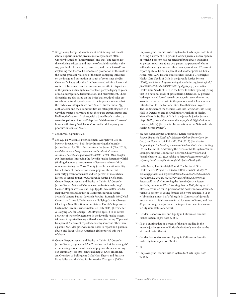95 *See generally* Lacey, *supra* note 75, at 2-3 (stating that racial/ ethnic disparities in the juvenile justice system are often wrongly blamed on "unfit parents," and that "one reason for the enduring existence and practice of racial disparities is the way youth of color are seen, perceived, and characterized," and explaining that the "well-orchestrated promotion of the myth of the 'super-predator' was one of the most damaging influences on the image and perception of youth of color since the Jim Crow era"). Lacey adds that "[w]hen viewed within a historical context, it becomes clear that current racial/ ethnic disparities in the juvenile justice system are at least partly a legacy of years of racial segregation, discrimination, and mistreatment. These disparities are also based on the belief that youth of color are somehow culturally predisposed to delinquency in a way that their white counterparts are not." *Id.* at 3. Furthermore, "[y] outh of color and their communities are often pathologized in a way that creates a narrative about their past, current status, and likelihood of success. In short, with a broad brush stroke, that narrative paints a picture of "deprived" children from "broken" homes with strong "risk factors" for further delinquency and poor life outcomes." *Id.* at 4.

- 96 *See* Burrell, *supra* note 28.
- 97 *See, e.g.*, Liz Watson & Peter Edelman, Georgetown Ctr. on Poverty, Inequality & Pub. Policy Improving the Juvenile Justice System for Girls: Lessons from the States 1 (Oct. 2012), *available at www.law.georgetown.edu/academics/centersinstitutes/ poverty-inequality/upload/JDS\_V1R4\_ Web\_Singles.* pdf [hereinafter Improving the Juvenile Justice System for Girls] (finding that over three-quarters of females and two-thirds of males entering the Cook County juvenile detention facility had a history of moderate or severe physical abuse, that over forty percent of females and ten percent of males had a history of sexual abuse; *see also* Juvenile Justice Brief Series, Gender Responsiveness and Equity in California's Juvenile Justice System 7-8, *available at* www.law.berkeley.edu/img/ Gender\_Responsiveness\_and\_Equity.pdf [hereinafter Gender Responsiveness and Equity in California's Juvenile Justice System]; Vanessa Patino, Lawanda Ravoira, & Angela Wolf, Nat'l Council on Crime & Delinquency, A Rallying Cry for Change: Charting a New Direction in the State of Florida's Response to Girls in the Juvenile Justice System 41 (July 2006) [hereinafter A Rallying Cry for Change]. Of 319 girls ages 12 to 19 across a variety of types of placements in the juvenile justice system, 64 percent reported having suffered abuse, including 37 percent by a parent. 55 percent reported abuse by someone other than a parent. *Id.* Older girls were more likely to report non-parental abuse, and fewer African American girls reported this type of abuse.
- 98 Gender Responsiveness and Equity in California's Juvenile Justice System, *supra* note 97 at 7 (noting the link between girls' experiencing sexual, emotional and physical abuse and acting out criminally); *see also* Joanne Belknap & Kristi Holsinger, An Overview of Delinquent Girls: How Theory and Practice Have Failed and the Need for Innovative Changes 4 (2008);

Improving the Juvenile Justice System for Girls, *supra* note 97 at 2 (citing a survey of 319 girls in Florida's juvenile justice system, of which 64 percent had reported suffering abuse, including 37 percent reporting abuse by a parent; 55 percent of whom suffered abuse by someone other than a parent, and 27 percent reporting abuse by both a parent and another person.); Leslie Acoca, Nat'l Girls Health & Justice Inst. (NGHJI), Highlights: Health Care Needs of Girls in the Juvenile Justice System (2009), *available at http://stoneleighfoundation.org/sites/default/ files/2009%20Sept% 20GHS%20Highlights.pdf* [hereinafter Health Care Needs of Girls in the Juvenile Justice System] (citing that in a national study of girls entering detention, 22 percent had experienced forced sexual contact, with several reporting assaults that occurred within the previous week); Leslie Acoca, Introduction to The National Girls Health Screen Project; The Findings from the Medical Case File Review of Girls Being Held in Detention and the Preliminary Analysis of Health/ Mental Health Studies of Girls in the Juvenile Justice System (Sept. 2005), *available at www.njjn.org/uploads/digital-library/ resource\_247.pdf* [hereinafter Introduction to the National Girls Health Screen Project].

- 99 *See also* Karen Baynes-Dunning & Karen Worthington, *Responding to the Needs of Adolescent Girls in Foster Care*, 20 Geo. J. on Poverty L. & Pol'y 321, 326 (2013) [hereinafter *Responding to the Needs of Adolescent Girls in Foster Care*] (citing Denise Herz et al., Addressing the Needs of Multi-System Youth: Strengthening the Connection Between Child Welfare and Juvenile Justice (2012), *available at http://cjjr.georgetown.edu/ pdfs/msy/ AddressingtheNeedsofMultiSystemYouth.pdf*).
- 100 Leslie Acoca, The Stonleigh Found. The National Girls Health Screen Project 5 n.2 (Mar. 2013), *available at http:// stoneleighfoundation.org/sites/default/files/Leslie%20Acoca%20 %20The%20National %20Girls%20Health%20Screen%20 Project.pdf*; *see also* Improving the Juvenile Justice System for Girls, *supra* note 97 at 1 (noting that in 2006, this type of offense accounted for 25 percent of the boys who were detained, versus 41 percent of young females who were detained.); *id.* at 9 (observing almost half of the girls in Connecticut's juvenile justice system initially were referred for status offenses, and that 88 percent of girls adjudicated delinquent and sent to a secure facility were status offenders).
- 101 Gender Responsiveness and Equity in California's Juvenile Justice System, *supra* note 97 at 7.
- 102 *Id.* at 3 (noting that 61 percent of the girls studied in the juvenile justice system in Florida had a family member as the victim of their offense).
- 103 Gender Responsiveness and Equity in California's Juvenile Justice System, *supra* note 97 at 7.

104 *Id.* 

105 Improving the Juvenile Justice System for Girls, *supra* note 97 at 8.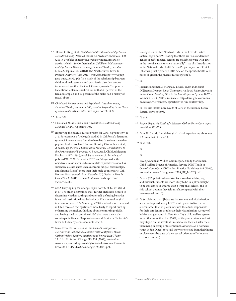- 106 Devon C. King, et al., *Childhood Maltreatment and Psychiatric Disorders among Detained Youths*, 62 Psychiatric Services 1430 (2011), *available at* http://ps.psychiatryonline.org/article. aspx?articleid=180920 [hereinafter *Childhood Maltreatment and Psychiatric Disorders among Detained Youths*]; *see also*  Linda A. Teplin et al., OJJDP, The Northwestern Juvenile Project: Overview, (Feb. 2013), *available at* http://www.ojjdp. gov/ pubs/234522.pdf (in a study of the relationship between childhood maltreatment and psychiatric disorders among incarcerated youth at the Cook County Juvenile Temporary Detention Center, researchers found that 40 percent of the females sampled and 10 percent of the males had a history of sexual abuse).
- 107 *Childhood Maltreatment and Psychiatric Disorders among Detained Youths*, *supra* note 106; *see also Responding to the Needs of Adolescent Girls in Foster Care*, *supra* note 99 at 321.
- 108 *Id.* at 331.
- 109 *Childhood Maltreatment and Psychiatric Disorders among Detained Youths*, *supra* note 106.
- 110 Improving the Juvenile Justice System for Girls, *supra* note 97 at 2–3. For example, of 1000 girls studied in California's detention system, 88 percent were found to have had "a serious mental or physical health problem." *See also* Dorothy Otnow Lewis et al., *A Follow-up of Female Delinquents: Maternal Contributions to the Perpetuation of Deviance*, 30 J. Am. Acad. Child Adolescent Psychiatry 197 (1991), *available at* www.ncbi.nlm.nih.gov/ pubmed/2016222. Girls with PTSD are "diagnosed with objective disease states such as circulatory problems, as well as subjective disease states such as chronic fatigue, fibromyalgia, and chronic fatigue" more than their male counterparts. Gail Hornor, *Posttraumatic Stress Disorder*, 27 J. Pediatric Health Care e29, e33 (2013), *available at* www.medscape.com/ viewarticle/803151.
- 111 *See* A Rallying Cry for Change*, supra* note 97 at 47; *see also id*. at 37. The study determined that "further analysis is needed to determine whether cutting and other self-defeating behavior is learned institutionalized behavior or if it is central to girls' intervention needs." *Id.* Similarly, a 2006 study of youth detained in Ohio revealed that "girls were more likely to report hurting or harming themselves, thinking about committing suicide, and having tried to commit suicide" than were their male counterparts. Gender Responsiveness and Equity in California's Juvenile Justice System, *supra* note 97 at 8.
- 112 Jamie Edwards , *A Lesson in Unintended Consequences: How Juvenile Justice and Domestic Violence Reforms Harm Girls in Violent Family Situations (and how to Help Them)*, 13 U. Pa. J.L. & Soc. Change 219, 234 (2009), *available at* www.law.upenn.edu/journals/ jlasc/articles/volume13/issue2/ Edwards 13U.Pa.J.L.&Soc.Change219(2009).pdf.

113 *See, e.g.*, Health Care Needs of Girls in the Juvenile Justice System, *supra* note 98 (noting that there are "no standardized gender specific medical screens are available for use with girls in the juvenile justice system nationally"); *see also* Introduction to the National Girls Health Screen Project *supra* note 98 at 1 (observing that "[t]here is little data on the specific health care needs of girls in the juvenile justice system").

114 *Id.* 

- 115 Francine Sherman & Marsha L. Levick, *When Individual Differences Demand Equal Treatment: An Equal Rights Approach to the Special Needs of Girls in the Juvenile Justice System*, 18 Wis. Women's L. J. 9 (2003), *available at* http://lawdigitalcommons. bc.edu/cgi/viewcontent. cgi?article=1572& context=lsfp.
- 116 *Id.; see also* Health Care Needs of Girls in the Juvenile Justice System, *supra* note 98.

117 *Id.* at 9.

- 118 *Responding to the Needs of Adolescent Girls in Foster Care*, *supra* note 99 at 322-323.
- 119 *Id.* A 2010 study found that girls' risk of experiencing abuse was 1.3 times that of males'. *Id.*
- *120 Id*. at 324.

121 *Id*.

- 123 *See, e.g.*, Shannan Wilber, Caitlin Ryan, & Jody Marksamer, Child Welfare League of America, Serving LGBT Youth in Out-of-Home Care; CWLA Best Practice Guidelines 4–5 (2006), *available at* www.f2f.ca.gov/res/2798\_BP\_LGBTQ.pdf.
- 124 *Id.* at 4 ("Population-based studies show that lesbian, gay, and bisexual students are more likely to be in a physical fight, to be threatened or injured with a weapon at school, and to skip school because they felt unsafe, compared with their heterosexual peers.").
- <sup>125</sup> *Id.* (explaining that "[b] ecause harassment and victimization are so widespread, many LGBT youth prefer to live on the streets rather than in places in which the adults responsible for their care ignore or tolerate their victimization. A study of lesbian and gay youth in New York City's child welfare system found that more than half (56%) of the youth interviewed said they stayed on the streets at times because they felt safer there than living in group or foster homes. Among LGBT homeless youth in San Diego, 39% said they were ejected from their home or placements because of their sexual orientation") (internal citations omitted).

<sup>122</sup> *Id*.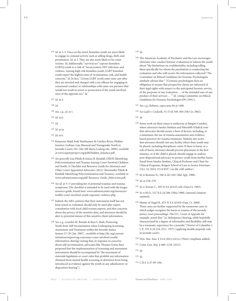126 *Id.* at 3-5. Once on the street, homeless youth are more likely to engage in criminal activity such as selling drugs, theft, and prostitution. *Id.* at 5. They are also more likely to be crime victims. *Id*. Additionally, "survival sex" exposes homeless LGBTQ youth to a risk of "incarceration, HIV infection, and violence. Among high-risk homeless youth, LGBT homeless youth report the highest rates of victimization, risk, and health concerns." *Id.* In fact, "[s]ome LGBT youth enter state care after they are arrested and charged with a sex offense for engaging in consensual conduct or relationships with same-sex partners that would not result in arrest or prosecution if the youth involved were of the opposite sex." *Id*.

127 *Id.* at 4.

128 *Id.* 

- 129 *See, e.g.*, *id.* at 1.
- 130 *Id.* at 6.
- 131 *Id.*
- 132 *Id.* at ix.
- 133 *Id.* at 6.
- 134 Katayoon Majd, Jody Marksamer, & Carolyn Reves, Hidden Inustice: Lesbian, Gay, Bisexual and Transgender Youth in Juvenile Courts 101–106 (Jill Marts Lodwig eds., 2009), *available at* www.equityproject.org/pdfs/hidden\_injustice.pdf.
- 135 *See generally* Lisa Pilnik & Jessica R. Kendall, OJJDP, Identifying Polyvictimization and Trauma Among Court-Involved Children and Youth: A Checklist and Resource Guide for Attorneys and Other Court-Appointed Advocates (2012) [hereinafter Pilnik & Kendall, Identifying Polyvictimization and Trauma], *available at* www.safestartcenter.org/pdf/ Resource-Guide\_Polyvictim.pdf.
- 136 *See id.* at 3–5 (providing list of potential traumas and trauma symptoms).The checklist is intended to be used with the longer resource guide, found here: www.safestartcenter.org/resources/ toolkit-court-involved-youth-exposure-violence.php.
- 137 Indeed, the ABA cautions that their instrument itself has not been tested or evaluated, should only be used after expert consultation with local child trauma experts, and that concerns about the privacy of the sensitive data, and attorneys should be alert to potential misuse of this sensitive client information.
- 138 *See, e.g.*, Lourdes M. Rosado & Riya S. Shah, Protecting Youth from Self-Incrimination when Undergoing Screening, Assessment and Treatment within the Juvenile Justice System 27–28 (Jan. 2007) , *available at* http://jlc.org/currentinitiatives/improving-outcomes-court-involved-youth/ information-sharing (noting that, in response to concerns about self-incrimination, advocates like Thomas Grisso have proposed that the implementation of screening and assessment instruments should be accompanied by "the enactment of statewide legislation or court rules that prohibit any information obtained from mental health screening in detention from being introduced as evidence against the youth in any adjudicatory or disposition hearing").

#### 139 *Id.*

- 140 The American Academy of Psychiatry and the Law encourages clinicians who conduct forensic evaluations to inform the youth about "the limitations on confidentiality, including telling them specifically for whom the psychiatrist is conducting the evaluation and who will receive the information collected." The Committee on Ethical Guidelines for Forensic Psychologists similarly advises that " '[f]orensic psychologists have an obligation to ensure that prospective clients are informed of their legal rights with respect to the anticipated forensic service, of the purposes of any evaluation … of the intended uses of any product of their services ...'" *Id.* (citing Committee on Ethical Guidelines for Forensic Psychologist 659 (1991)).
- 141 *See, e.g.*, Roberts, *supra* note 84 at 1490.
- 142 *See* Ladd v. Cockrell, 311 F.3d 349, 360 (5th Cir. 2002).

- 144 Some work on these issues is underway at Rutgers Camden, where attorneys Sandra Simkins and Meredith Schalick note that advocates should ensure a host of factors, including, at a minimum, the use of trauma assessments and evidencebased practices for trauma treatment. Simkins also notes that attorneys should visit any facility where their youth may be placed, including disciplinary units. If there is harm, or a risk of harm, attorneys should prevent placement in the first instance, or if the child is placed, should engage in zealous post-dispositional advocacy to protect youth from further harm. Email from Sandra Simkins, Clinical Professor and Chair for Clinical Programs, Rutgers School of Law, to Jessica Feierman (Oct. 24, 2014, 15:14 EST) (on file with author).
- 145 In re Kemmo N., 540 A.2d 1202 (Md. App. 1988).
- 146 *Id.* at 278–279.
- 147 *In re* Tristan C.*,* 595 N.Y.S.2d 635, 636 (Fam.Ct. 1993).
- 148 *In re* M.D., 527 N.E.2d 286 (Ohio 1988) (internal citations omitted).
- 149 Matter of Angel R.*,* 875 N.Y.S.2d 818 (Fam. Ct. 2008). These cases are further supported by the numerous cases in which judges recognize the harm or trauma of the juvenile justice court proceedings. The D.C. Court of Appeals, for example, noted that "[a] delinquency hearing, while hopefully characterized by a degree of informality and flexibility, still may be a traumatic experience for a juvenile." District of Columbia v. I. P., 335 A.2d 224, (D.C. 1975) (applying double jeopardy rule in juvenile court).
- <sup>150</sup> Wyo. Stat. Ann. § 14-6-201(c)(ii)(a) (West) (emphasis added).
- 151 Conn. Gen. Stat. § 46b–121k (2012).
- 152 *Id.*

154 C.R.S. § 27-69–104.

<sup>143</sup> *Id.* 

<sup>153</sup> *Id.*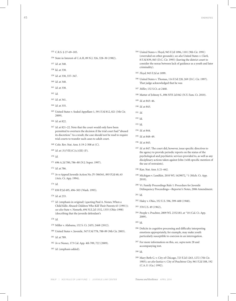- C.R.S. § 27-69–105.
- State in Interest of C.A.H, 89 N.J. 326, 328–30 (1982).
- *Id.* at 340.
- Id. at 330.
- *Id.* at 330, 337–347.
- *Id.* at 340.
- *Id.* at 338.
- *Id*.
- *Id.* at 341.
- *Id.* at 335.
- United States v. Sealed Appellant 1, 591 F.3d 812, 821 (5th Cir. 2009).
- *Id.* at 822.
- *Id*. at 821–22. Note that the court would only have been permitted to overturn the decision if the trial court had "abused its discretion." As a result, the case should not be read to require trial courts to transfer such cases to adult court.
- Colo. Rev. Stat. Ann. § 19-2-508 at (C).
- *Id.* at (3)(VII)(C)(c)(III) (F).
- *Id.*
- 696 A.2d 780, 786–88 (N.J. Super. 1997).
- *Id.* at 786.
- *In re* Appeal Juvenile Action No. JV-506561*,* 893 P.2d 60, 63 (Ariz. Ct. App. 1994).
- *Id.*
- 850 P.2d 495, 496–503 (Wash. 1993).
- *Id.* at 233.
- 177 Id. (emphasis in original) (quoting Paul A. Nones, When a Child Kills: Abused Children Who Kill Their Parents 63 (1991)); *see also* State v. Nemeth, 694 N.E.2d 1332, 1335 (Ohio 1998) (describing that the juvenile defendant's
- *Id.*
- Miller v. Alabama, 132 S. Ct. 2455, 2468 (2012).
- United States v. Juvenile*,* 347 F.3d 778, 788-89 (9th Cir. 2003).
- *Id.* at 789.
- *In re* Nunez*,* 173 Cal. App. 4th 709, 722 (2009).
- <sup>183</sup> *Id.* (emphasis added).
- United States v. Floyd, 945 F.2d 1096, 1101 (9th Cir. 1991) (overruled on other grounds); *see also* United States *v. Clark*, 8 F.3d 839, 845 (D.C. Cir. 1993) (leaving the district court to consider the nexus between lack of guidance as a youth and later criminality).
- *Floyd*, 945 F.2d at 1099.
- United States v. Thomas, 114 F.3d 228, 269 (D.C. Cir. 1997)*.*  That judge acknowledged that he was
- *Miller,* 132 S.Ct. at 2468.
- Matter of Johnny S., 896 NYS 2d 842 (N.Y. Fam. Ct. 2010).
- *Id*. at 843–46.
- *Id.* at 843.
- *Id*.
- Id.
- Id.
- *Id*. at 844.
- *Id*. at 848–49.
- *Id.* at 845.
- <sup>197</sup> *Id.* at 847. The court did, however, issue specific directives to the agency to provide periodic reports on the status of the psychological and psychiatric services provided to, as well as any disciplinary actions taken against John (with specific mention of the use of restraints).
- Kan. Stat. Ann. § 21–662.
- Michigan v. Landfair*,* 2010 WL 1629072, \*1 (Mich. Ct. App. 2010).
- Vt. Family Proceedings Rule 1: Procedure for Juvenile Delinquency Proceedings—Reporter's Notes, 2006 Amendment.
- Id.
- Haley v. Ohio, 332 U.S. 596, 599–600 (1948).
- 370 U.S. 49 (1962),
- People v. Prachter, 2009 WL 2332183, at \*10 (Cal. Ct. App. 2009).

Id.

- Deficits in cognitive processing and difficulty interpreting emotions appropriately, for example, may make youth particularly susceptible to coercion in an interrogation.
- For more information on this, *see, supra* note 28 and accompanying text.

Id.

 Mary Beth G. v. City of Chicago, 723 F.2d 1263, 1272 (7th Cir. 1983); *see also* Justice v. City of Peachtree City, 961 F.2d 188, 192 (C.A.11 (Ga.) 1992).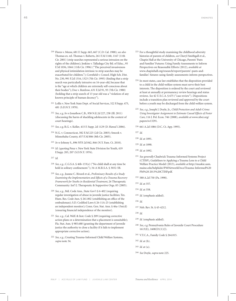- 210 Flores v. Meese, 681 F. Supp. 665, 667 (C.D. Cal. 1988); *see also*  Thomas ex. rel. Thomas v. Roberts, 261 F.3d 1160, 1167 (11th Cir. 2001) (strip searches represented a serious intrusion on the rights of the children); Jenkins v. Talladega City Bd. of Educ., 95 F.3d 1036, 1044 (11th Cir. 1996) ("The perceived invasiveness and physical intimidation intrinsic to strip searches may be exacerbated for children."); Cornfield v. Consol. High Sch. Dist. No. 230, 991 F.2d 1316, 1323 (7th Cir. 1993) (finding that a strip search was particularly intrusive on 16-year-old, because that is the "age at which children are extremely self-conscious about their bodies"); Doe v. Renfrow*,* 631 F.2d 91, 93 (7th Cir. 1980) (holding that a strip search of 13 year old was a "violation of any known principle of human decency").
- 211 Lollis v. New York State Dept. of Social Services, 322 F.Supp. 473, 481 (S.D.N.Y. 1970).
- 212 *See, e.g, In re* Jonathon C.B., 958 N.E.2d 227, 258 (Ill. 2011) (discussing the harm of shackling adolescents in the context of court hearings).
- 213 *See, e.g,* R.G. v. Koller*,* 415 F. Supp. 2d 1129 (D. Hawai'i 2006).
- 214 N.G. v. Connecticut, 382 F.3d 225 (2d Cir. 2003); Smook v. Minnehaha County, 457 F.3d 806 (8th Cir. 2005).
- 215 *In re* Johnny S., 896 NYS 2d 842, 846 (N.Y. Fam. Ct. 2010).
- 216 *Id.* (quoting Pena v. New York State Division for Youth, 419 F.Supp. 203, 207 (S.D.N.Y. 1976).

217 *Id.* 

- 218 *See, e.g.*, C.G.S.A. § 46b-133(e) ("No child shall at any time be held in solitary confinement."); 34-A M.R.S.A. § 3032-5B.
- 219 *See, e.g.*, Jeanne C. Rivard et al., *Preliminary Results of a Study Examining the Implementation and Effects of a Trauma Recovery Framework for Youths in Residential Treatment*, 26 Therapeutic Community: Int'l J. Therapeutic & Supportive Orgs. 83 (2005).
- 220 *See, e.g.,* Md. Code Ann., State Gov't § 6-402 (requiring regular investigation of abuse in juvenile justice facilities; Tex. Hum. Res. Code Ann. § 261.002 (establishing an office of the ombudsman); S.D. Codified Laws § 26-11A-25 (establishing an independent monitor); Conn. Gen. Stat. Ann. § 46a-13m(d) (ensuring financial independence of the monitor).
- 221 *See. e.g.,* Cal. Welf. & Inst. Code § 209 (requiring corrective action plans or a determination that a placement is unsuitable); Fla. Stat. Ann. § 985.688 (granting the department of juvenile justice the authority to close a facility if it fails to implement appropriate corrective action).
- 222 *See, e.g.*, Creating Trauma-Informed Child Welfare Systems, *supra* note 34.
- 223 For a thoughtful study examining the childhood adversity histories of parents of children, *see* Cheryl Smithgall et al.*,*  Chapin Hall at the University of Chicago, Parents' Pasts and Families' Futures: Using Family Assessments to Inform Perspectives on Reasonable Efforts (2012), *available at* www.chapinhall.org/research/report/parents'-pasts-andfamilies'-futures-using-family-assessments-inform-perspectives.
- 224 In most states, case law establishes that the disposition provided to a child in the child welfare system must serve their best interests. The disposition is ordered by the court and reviewed at least at annually at permanency review hearings and status reviews. *See* 42 U.S.C.A. § 675 ("case review"). Dispositions include a transition plan reviewed and approved by the court before a youth may be discharged from the child welfare system.
- 225 *See, e.g.*, Joseph J. Doyle, Jr., *Child Protection and Adult Crime: Using Investigator Assignment to Estimate Causal Effects of Foster Care*, 116 J. Pol. Econ. 746 (2008), *available at* www.nber.org/ papers/w13291.
- 226 661 A.2d 1086 (D.C. Ct. App. 1995).
- 227 *Id.*
- 228 *Id.* at 1091.
- 229 *Id.* at 1090.
- 230 *Id.* at 1092.
- 231 *See generally* Chadwick Trauma-Informed Systems Project (CTISP), Guidelines to Applying a Trauma Lens to a Child Welfare Practice Model (2013), *available at* http://muskie.usm. maine.edu/helpkids//PMNetworkDocs/Trauma-Informed%20 PM%20 2013%20CTISP.pdf.
- 232 580 A.2d 750 (Pa. 1990).
- 233 *Id.* at 357.
- 234 *Id.* at 358.
- 235 *Id.* (emphasis added).
- 236 *Id.*
- 237 Neb. Rev. St. § 43-4212.
- 238 *Id.*
- 239 *Id.* (emphasis added).
- 240 *See, e.g,* Pennsylvania Rules of Juvenile Court Procedure  $1613(E), 1608(D)(1)(J).$
- 241 V.T.C.A., Family Code § 264.015.

242 *Id.* at (b).

- 243 *Id.* at (a).
- 244 *See* Doyle, *supra* note 225.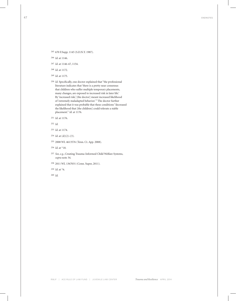- 245 670 F.Supp. 1145 (S.D.N.Y. 1987).
- 246 *Id.* at 1146.
- 247 *Id.* at 1146-47, 1154.
- 248 *Id.* at 1172.
- 249 *Id.* at 1175.
- 250 *Id.* Specifically, one doctor explained that "the professional literature indicates that 'there is a pretty near consensus that children who suffer multiple temporary placements, many changes, are exposed to increased risk in later life.' By 'increased risk,' [the doctor] meant increased likelihood of 'extremely maladapted behavior.' " The doctor further explained that it was probable that these conditions "decreased the likelihood that [the children] could tolerate a stable placement." *Id.* at 1176.
- 251 *Id.* at 1176.
- 252 *Id.*
- 253 *Id.* at 1174.
- <sup>254</sup> *Id.* at  $(d)(2)-(3)$ .
- 255 2008 WL 4613576 (Tenn. Ct. App. 2008).
- 256 *Id.* at \*18.
- 257 *See, e.g.*, Creating Trauma-Informed Child Welfare Systems, *supra* note 34.
- 258 2011 WL 1367031 (Conn. Super, 2011).
- 259 *Id.* at \*6.
- 260 *Id*.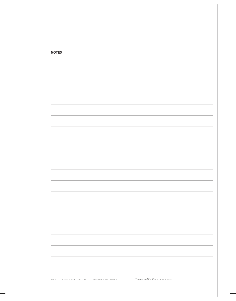|--|--|

RWJF | ACE RULE OF LAW FUND | JUVENILE LAW CENTER *Trauma and Resilience* APRIL 2014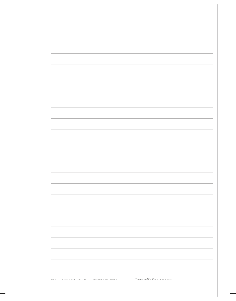Ξ